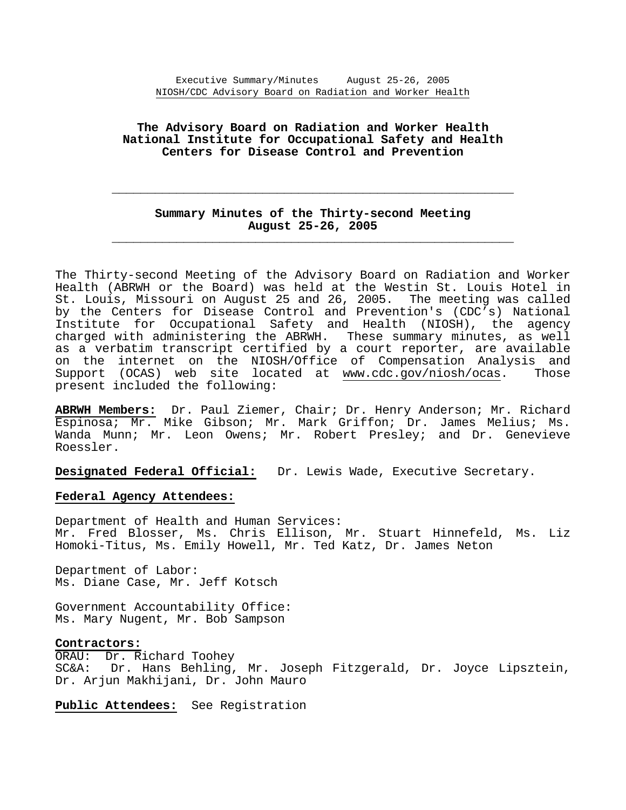# **The Advisory Board on Radiation and Worker Health National Institute for Occupational Safety and Health Centers for Disease Control and Prevention**

# **Summary Minutes of the Thirty-second Meeting August 25-26, 2005 \_\_\_\_\_\_\_\_\_\_\_\_\_\_\_\_\_\_\_\_\_\_\_\_\_\_\_\_\_\_\_\_\_\_\_\_\_\_\_\_\_\_\_\_\_\_\_\_\_\_\_\_\_\_\_\_**

 **\_\_\_\_\_\_\_\_\_\_\_\_\_\_\_\_\_\_\_\_\_\_\_\_\_\_\_\_\_\_\_\_\_\_\_\_\_\_\_\_\_\_\_\_\_\_\_\_\_\_\_\_\_\_\_\_** 

The Thirty-second Meeting of the Advisory Board on Radiation and Worker Health (ABRWH or the Board) was held at the Westin St. Louis Hotel in St. Louis, Missouri on August 25 and 26, 2005. The meeting was called by the Centers for Disease Control and Prevention's (CDC's) National Institute for Occupational Safety and Health (NIOSH), the agency charged with administering the ABRWH. These summary minutes, as well as a verbatim transcript certified by a court reporter, are available on the internet on the NIOSH/Office of Compensation Analysis and Support (OCAS) web site located at www.cdc.gov/niosh/ocas. Those present included the following:

**ABRWH Members:** Dr. Paul Ziemer, Chair; Dr. Henry Anderson; Mr. Richard Espinosa; Mr. Mike Gibson; Mr. Mark Griffon; Dr. James Melius; Ms. Wanda Munn; Mr. Leon Owens; Mr. Robert Presley; and Dr. Genevieve Roessler.

**Designated Federal Official:** Dr. Lewis Wade, Executive Secretary.

## **Federal Agency Attendees:**

Department of Health and Human Services: Mr. Fred Blosser, Ms. Chris Ellison, Mr. Stuart Hinnefeld, Ms. Liz Homoki-Titus, Ms. Emily Howell, Mr. Ted Katz, Dr. James Neton

Department of Labor: Ms. Diane Case, Mr. Jeff Kotsch

Government Accountability Office: Ms. Mary Nugent, Mr. Bob Sampson

## **Contractors:**

ORAU: Dr. Richard Toohey SC&A: Dr. Hans Behling, Mr. Joseph Fitzgerald, Dr. Joyce Lipsztein, Dr. Arjun Makhijani, Dr. John Mauro

**Public Attendees:** See Registration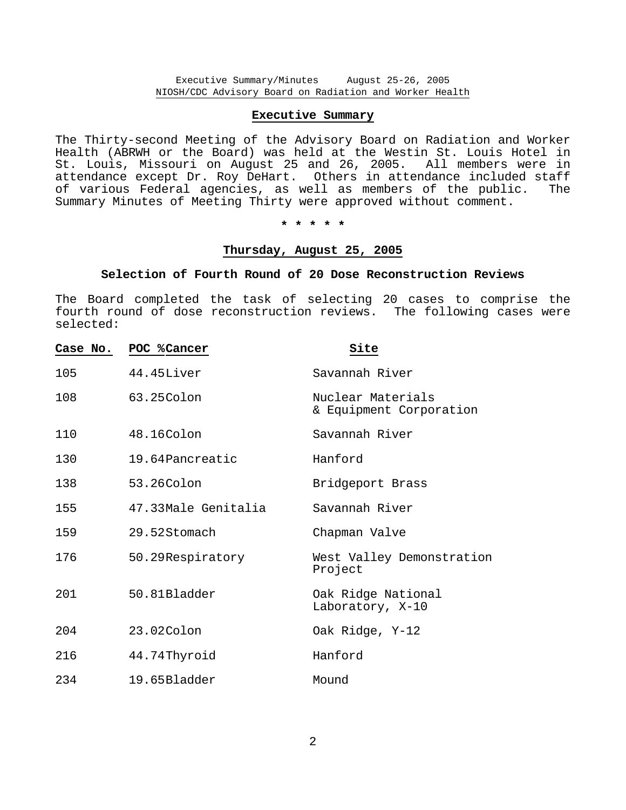# **Executive Summary**

The Thirty-second Meeting of the Advisory Board on Radiation and Worker Health (ABRWH or the Board) was held at the Westin St. Louis Hotel in St. Louis, Missouri on August 25 and 26, 2005. All members were in attendance except Dr. Roy DeHart. Others in attendance included staff of various Federal agencies, as well as members of the public. The Summary Minutes of Meeting Thirty were approved without comment.

**\* \* \* \* \*** 

## **Thursday, August 25, 2005**

#### **Selection of Fourth Round of 20 Dose Reconstruction Reviews**

The Board completed the task of selecting 20 cases to comprise the fourth round of dose reconstruction reviews. The following cases were selected:

| Case No. | POC % Cancer        | Site                                         |
|----------|---------------------|----------------------------------------------|
| 105      | 44.45Liver          | Savannah River                               |
| 108      | 63.25Colon          | Nuclear Materials<br>& Equipment Corporation |
| 110      | $48.16$ Colon       | Savannah River                               |
| 130      | 19.64Pancreatic     | Hanford                                      |
| 138      | 53.26Colon          | Bridgeport Brass                             |
| 155      | 47.33Male Genitalia | Savannah River                               |
| 159      | 29.52Stomach        | Chapman Valve                                |
| 176      | 50.29Respiratory    | West Valley Demonstration<br>Project         |
| 201      | $50.81B$ ladder     | Oak Ridge National<br>Laboratory, X-10       |
| 204      | 23.02Colon          | Oak Ridge, Y-12                              |
| 216      | 44.74 Thyroid       | Hanford                                      |
| 234      | 19.65Bladder        | Mound                                        |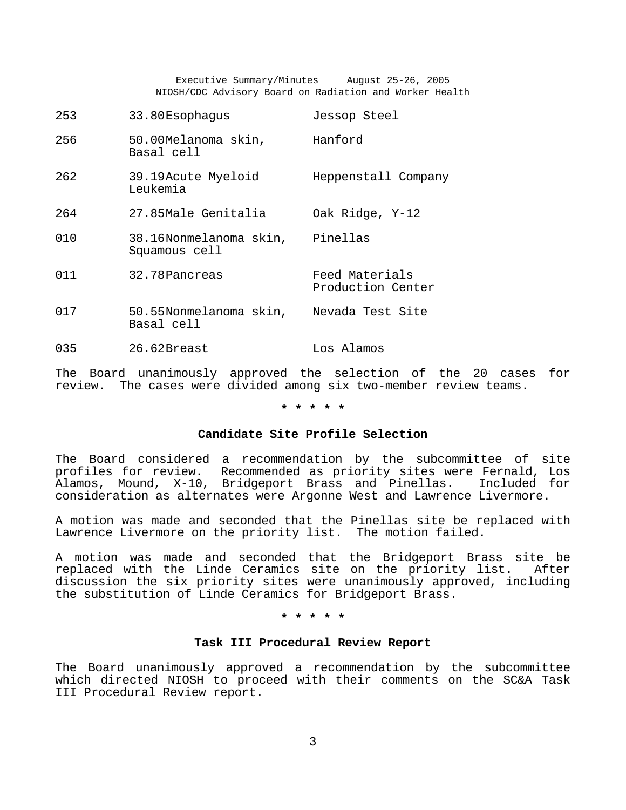Executive Summary/Minutes August 25-26, 2005 NIOSH/CDC Advisory Board on Radiation and Worker Health

| 253 | 33.80Esophaqus                                        | Jessop Steel                        |
|-----|-------------------------------------------------------|-------------------------------------|
| 256 | 50.00Melanoma skin,<br>Basal cell                     | Hanford                             |
| 262 | 39.19 Acute Myeloid<br>Leukemia                       | Heppenstall Company                 |
| 264 | 27.85Male Genitalia                                   | Oak Ridge, Y-12                     |
| 010 | 38.16Nonmelanoma skin,<br>Squamous cell               | Pinellas                            |
| 011 | 32.78 Pancreas                                        | Feed Materials<br>Production Center |
| 017 | 50.55Nonmelanoma skin, Nevada Test Site<br>Basal cell |                                     |
| 035 | 26.62Breast                                           | Los Alamos                          |

The Board unanimously approved the selection of the 20 cases for review. The cases were divided among six two-member review teams.

## **\* \* \* \* \***

# **Candidate Site Profile Selection**

The Board considered a recommendation by the subcommittee of site profiles for review. Recommended as priority sites were Fernald, Los Alamos, Mound, X-10, Bridgeport Brass and Pinellas. Included for consideration as alternates were Argonne West and Lawrence Livermore.

A motion was made and seconded that the Pinellas site be replaced with Lawrence Livermore on the priority list. The motion failed.

A motion was made and seconded that the Bridgeport Brass site be replaced with the Linde Ceramics site on the priority list. After discussion the six priority sites were unanimously approved, including the substitution of Linde Ceramics for Bridgeport Brass.

**\* \* \* \* \*** 

#### **Task III Procedural Review Report**

The Board unanimously approved a recommendation by the subcommittee which directed NIOSH to proceed with their comments on the SC&A Task III Procedural Review report.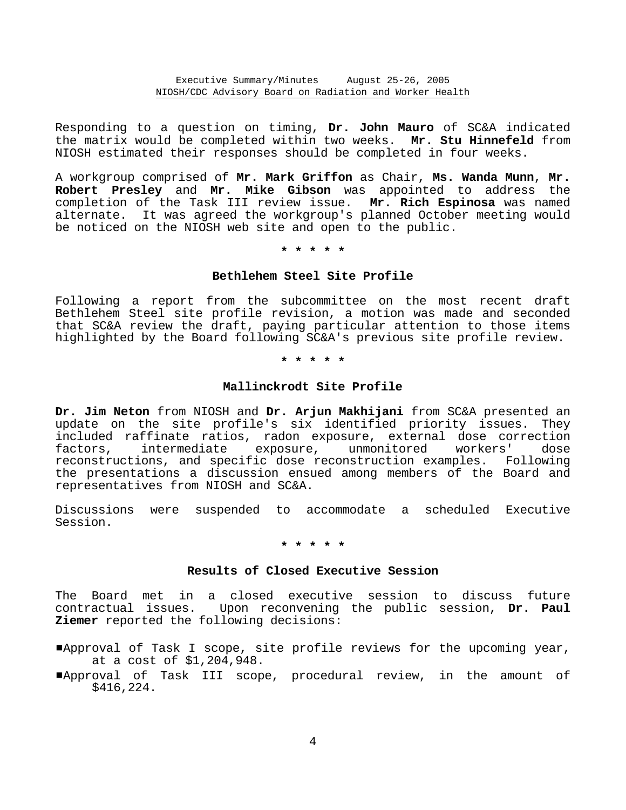Responding to a question on timing, **Dr. John Mauro** of SC&A indicated the matrix would be completed within two weeks. **Mr. Stu Hinnefeld** from NIOSH estimated their responses should be completed in four weeks.

A workgroup comprised of **Mr. Mark Griffon** as Chair, **Ms. Wanda Munn**, **Mr. Robert Presley** and **Mr. Mike Gibson** was appointed to address the completion of the Task III review issue. **Mr. Rich Espinosa** was named alternate. It was agreed the workgroup's planned October meeting would be noticed on the NIOSH web site and open to the public.

**\* \* \* \* \*** 

# **Bethlehem Steel Site Profile**

Following a report from the subcommittee on the most recent draft Bethlehem Steel site profile revision, a motion was made and seconded that SC&A review the draft, paying particular attention to those items highlighted by the Board following SC&A's previous site profile review.

**\* \* \* \* \*** 

## **Mallinckrodt Site Profile**

**Dr. Jim Neton** from NIOSH and **Dr. Arjun Makhijani** from SC&A presented an update on the site profile's six identified priority issues. They included raffinate ratios, radon exposure, external dose correction<br>factors, intermediate exposure, unmonitored workers' dose factors, intermediate exposure, unmonitored workers' dose reconstructions, and specific dose reconstruction examples. Following the presentations a discussion ensued among members of the Board and representatives from NIOSH and SC&A.

Discussions were suspended to accommodate a scheduled Executive Session.

**\* \* \* \* \*** 

## **Results of Closed Executive Session**

The Board met in a closed executive session to discuss future contractual issues. Upon reconvening the public session, **Dr. Paul Ziemer** reported the following decisions:

- #Approval of Task I scope, site profile reviews for the upcoming year, at a cost of \$1,204,948.
- #Approval of Task III scope, procedural review, in the amount of \$416,224.

4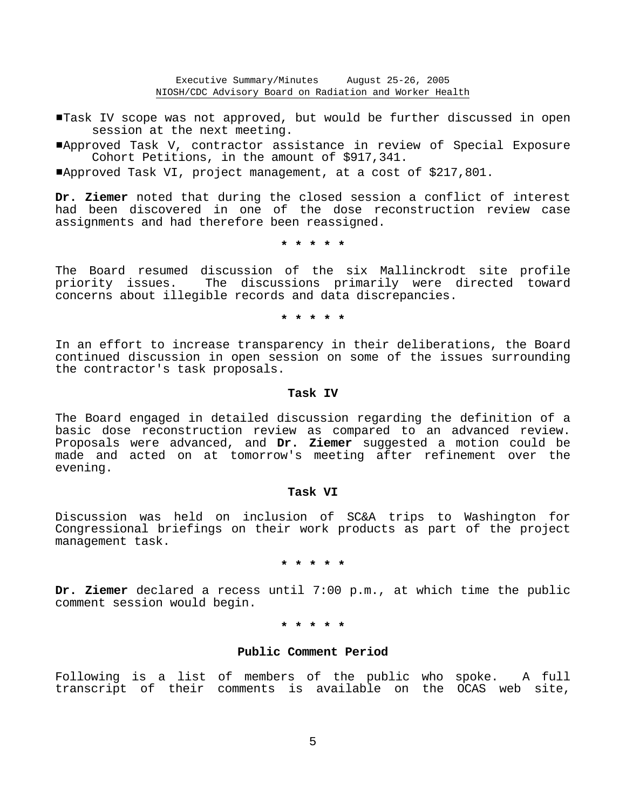Task IV scope was not approved, but would be further discussed in open session at the next meeting.

#Approved Task V, contractor assistance in review of Special Exposure Cohort Petitions, in the amount of \$917,341.

#Approved Task VI, project management, at a cost of \$217,801.

**Dr. Ziemer** noted that during the closed session a conflict of interest had been discovered in one of the dose reconstruction review case assignments and had therefore been reassigned.

**\* \* \* \* \*** 

The Board resumed discussion of the six Mallinckrodt site profile priority issues. The discussions primarily were directed toward concerns about illegible records and data discrepancies.

**\* \* \* \* \*** 

In an effort to increase transparency in their deliberations, the Board continued discussion in open session on some of the issues surrounding the contractor's task proposals.

## **Task IV**

The Board engaged in detailed discussion regarding the definition of a basic dose reconstruction review as compared to an advanced review. Proposals were advanced, and **Dr. Ziemer** suggested a motion could be made and acted on at tomorrow's meeting after refinement over the evening.

#### **Task VI**

Discussion was held on inclusion of SC&A trips to Washington for Congressional briefings on their work products as part of the project management task.

# **\* \* \* \* \***

**Dr. Ziemer** declared a recess until 7:00 p.m., at which time the public comment session would begin.

## **\* \* \* \* \***

# **Public Comment Period**

Following is a list of members of the public who spoke. A full transcript of their comments is available on the OCAS web site,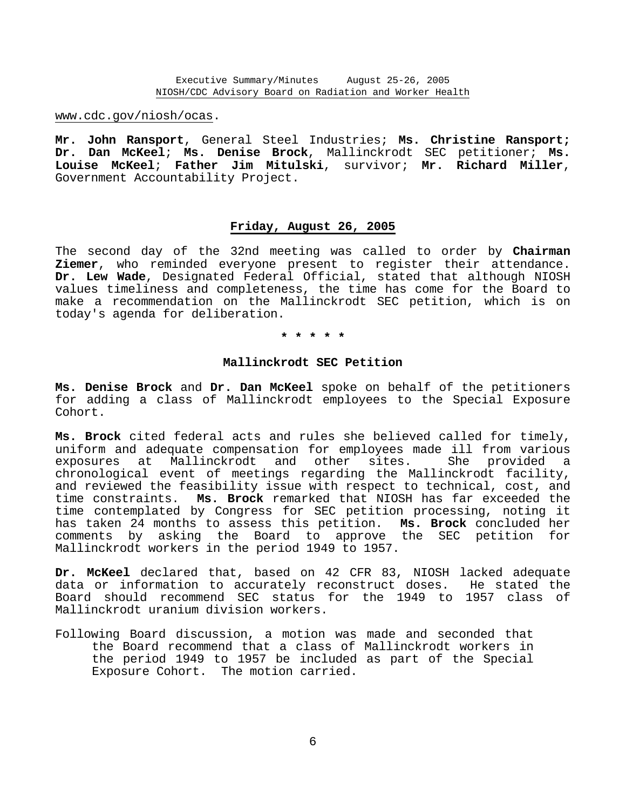www.cdc.gov/niosh/ocas.

**Mr. John Ransport**, General Steel Industries; **Ms. Christine Ransport; Dr. Dan McKeel**; **Ms. Denise Brock**, Mallinckrodt SEC petitioner; **Ms. Louise McKeel**; **Father Jim Mitulski**, survivor; **Mr. Richard Miller**, Government Accountability Project.

## **Friday, August 26, 2005**

The second day of the 32nd meeting was called to order by **Chairman Ziemer**, who reminded everyone present to register their attendance. **Dr. Lew Wade**, Designated Federal Official, stated that although NIOSH values timeliness and completeness, the time has come for the Board to make a recommendation on the Mallinckrodt SEC petition, which is on today's agenda for deliberation.

#### **\* \* \* \* \***

## **Mallinckrodt SEC Petition**

**Ms. Denise Brock** and **Dr. Dan McKeel** spoke on behalf of the petitioners for adding a class of Mallinckrodt employees to the Special Exposure Cohort.

**Ms. Brock** cited federal acts and rules she believed called for timely, uniform and adequate compensation for employees made ill from various exposures at Mallinckrodt and other sites. She provided a chronological event of meetings regarding the Mallinckrodt facility, and reviewed the feasibility issue with respect to technical, cost, and time constraints. **Ms. Brock** remarked that NIOSH has far exceeded the time contemplated by Congress for SEC petition processing, noting it has taken 24 months to assess this petition. **Ms. Brock** concluded her comments by asking the Board to approve the SEC petition for Mallinckrodt workers in the period 1949 to 1957.

**Dr. McKeel** declared that, based on 42 CFR 83, NIOSH lacked adequate data or information to accurately reconstruct doses. He stated the Board should recommend SEC status for the 1949 to 1957 class of Mallinckrodt uranium division workers.

Following Board discussion, a motion was made and seconded that the Board recommend that a class of Mallinckrodt workers in the period 1949 to 1957 be included as part of the Special Exposure Cohort. The motion carried.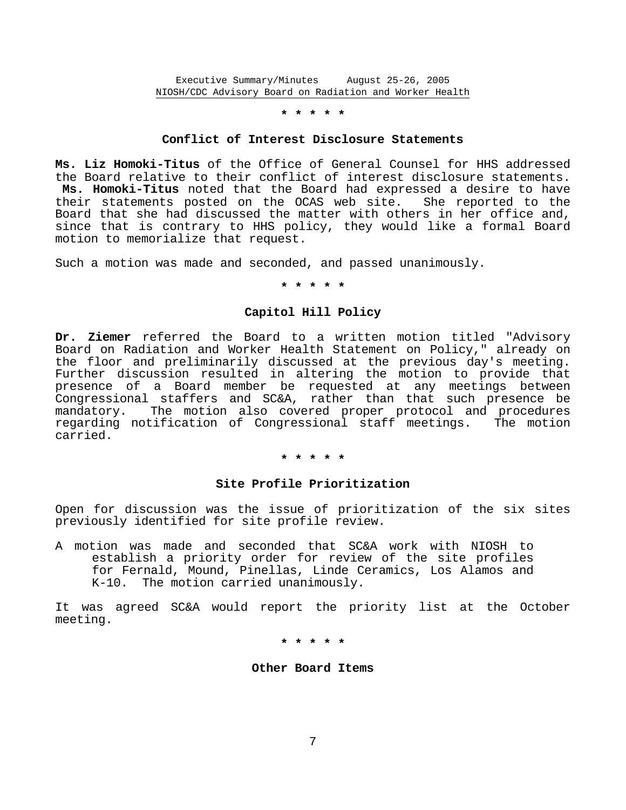Executive Summary/Minutes August 25-26, 2005 NIOSH/CDC Advisory Board on Radiation and Worker Health

## **\* \* \* \* \***

#### **Conflict of Interest Disclosure Statements**

**Ms. Liz Homoki-Titus** of the Office of General Counsel for HHS addressed the Board relative to their conflict of interest disclosure statements. **Ms. Homoki-Titus** noted that the Board had expressed a desire to have their statements posted on the OCAS web site. She reported to the Board that she had discussed the matter with others in her office and, since that is contrary to HHS policy, they would like a formal Board motion to memorialize that request.

Such a motion was made and seconded, and passed unanimously.

**\* \* \* \* \*** 

## **Capitol Hill Policy**

**Dr. Ziemer** referred the Board to a written motion titled "Advisory Board on Radiation and Worker Health Statement on Policy," already on the floor and preliminarily discussed at the previous day's meeting. Further discussion resulted in altering the motion to provide that presence of a Board member be requested at any meetings between Congressional staffers and SC&A, rather than that such presence be mandatory. The motion also covered proper protocol and procedures regarding notification of Congressional staff meetings. The motion carried.

#### **\* \* \* \* \***

## **Site Profile Prioritization**

Open for discussion was the issue of prioritization of the six sites previously identified for site profile review.

A motion was made and seconded that SC&A work with NIOSH to establish a priority order for review of the site profiles for Fernald, Mound, Pinellas, Linde Ceramics, Los Alamos and K-10. The motion carried unanimously.

It was agreed SC&A would report the priority list at the October meeting.

**\* \* \* \* \*** 

#### **Other Board Items**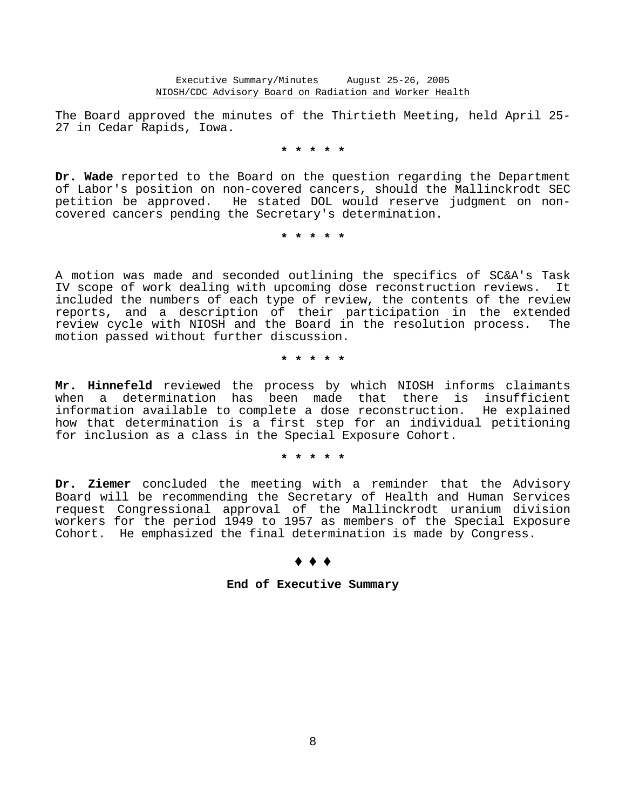The Board approved the minutes of the Thirtieth Meeting, held April 25 27 in Cedar Rapids, Iowa.

**\* \* \* \* \*** 

**Dr. Wade** reported to the Board on the question regarding the Department of Labor's position on non-covered cancers, should the Mallinckrodt SEC petition be approved. He stated DOL would reserve judgment on non covered cancers pending the Secretary's determination.

**\* \* \* \* \*** 

A motion was made and seconded outlining the specifics of SC&A's Task IV scope of work dealing with upcoming dose reconstruction reviews. It included the numbers of each type of review, the contents of the review reports, and a description of their participation in the extended review cycle with NIOSH and the Board in the resolution process. The motion passed without further discussion.

**\* \* \* \* \*** 

**Mr. Hinnefeld** reviewed the process by which NIOSH informs claimants when a determination has been made that there is insufficient information available to complete a dose reconstruction. He explained how that determination is a first step for an individual petitioning for inclusion as a class in the Special Exposure Cohort.

## **\* \* \* \* \***

**Dr. Ziemer** concluded the meeting with a reminder that the Advisory Board will be recommending the Secretary of Health and Human Services request Congressional approval of the Mallinckrodt uranium division workers for the period 1949 to 1957 as members of the Special Exposure Cohort. He emphasized the final determination is made by Congress.

#### $\bullet$   $\bullet$   $\bullet$

# **End of Executive Summary**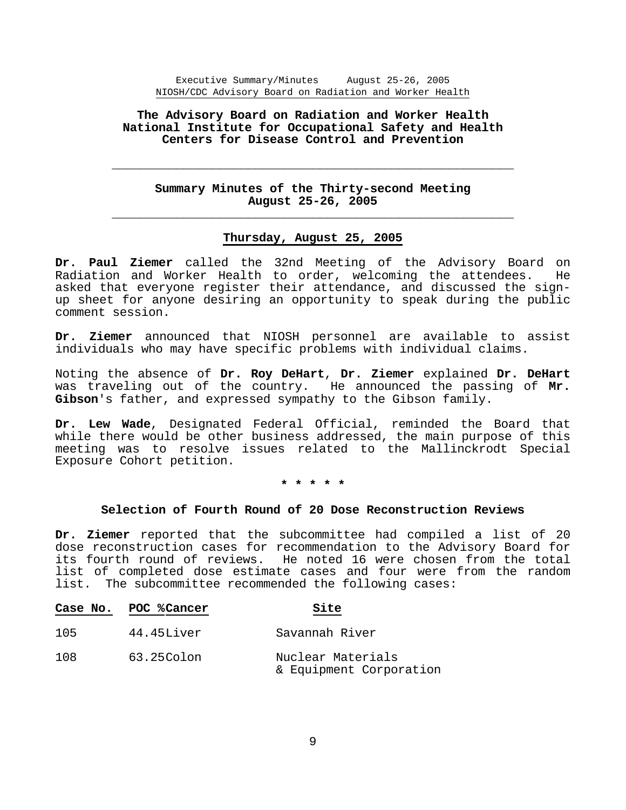Executive Summary/Minutes August 25-26, 2005 NIOSH/CDC Advisory Board on Radiation and Worker Health

# **The Advisory Board on Radiation and Worker Health National Institute for Occupational Safety and Health Centers for Disease Control and Prevention**

# **Summary Minutes of the Thirty-second Meeting August 25-26, 2005 \_\_\_\_\_\_\_\_\_\_\_\_\_\_\_\_\_\_\_\_\_\_\_\_\_\_\_\_\_\_\_\_\_\_\_\_\_\_\_\_\_\_\_\_\_\_\_\_\_\_\_\_\_\_\_\_**

 **\_\_\_\_\_\_\_\_\_\_\_\_\_\_\_\_\_\_\_\_\_\_\_\_\_\_\_\_\_\_\_\_\_\_\_\_\_\_\_\_\_\_\_\_\_\_\_\_\_\_\_\_\_\_\_\_** 

## **Thursday, August 25, 2005**

**Dr. Paul Ziemer** called the 32nd Meeting of the Advisory Board on Radiation and Worker Health to order, welcoming the attendees. He asked that everyone register their attendance, and discussed the sign up sheet for anyone desiring an opportunity to speak during the public comment session.

**Dr. Ziemer** announced that NIOSH personnel are available to assist individuals who may have specific problems with individual claims.

Noting the absence of **Dr. Roy DeHart**, **Dr. Ziemer** explained **Dr. DeHart** was traveling out of the country. He announced the passing of **Mr. Gibson**'s father, and expressed sympathy to the Gibson family.

**Dr. Lew Wade**, Designated Federal Official, reminded the Board that while there would be other business addressed, the main purpose of this meeting was to resolve issues related to the Mallinckrodt Special Exposure Cohort petition.

**\* \* \* \* \*** 

#### **Selection of Fourth Round of 20 Dose Reconstruction Reviews**

**Dr. Ziemer** reported that the subcommittee had compiled a list of 20 dose reconstruction cases for recommendation to the Advisory Board for its fourth round of reviews. He noted 16 were chosen from the total list of completed dose estimate cases and four were from the random list. The subcommittee recommended the following cases:

|     | Case No. POC % Cancer | Site                                         |
|-----|-----------------------|----------------------------------------------|
| 105 | 44.45Liver            | Savannah River                               |
| 108 | 63.25Colon            | Nuclear Materials<br>& Equipment Corporation |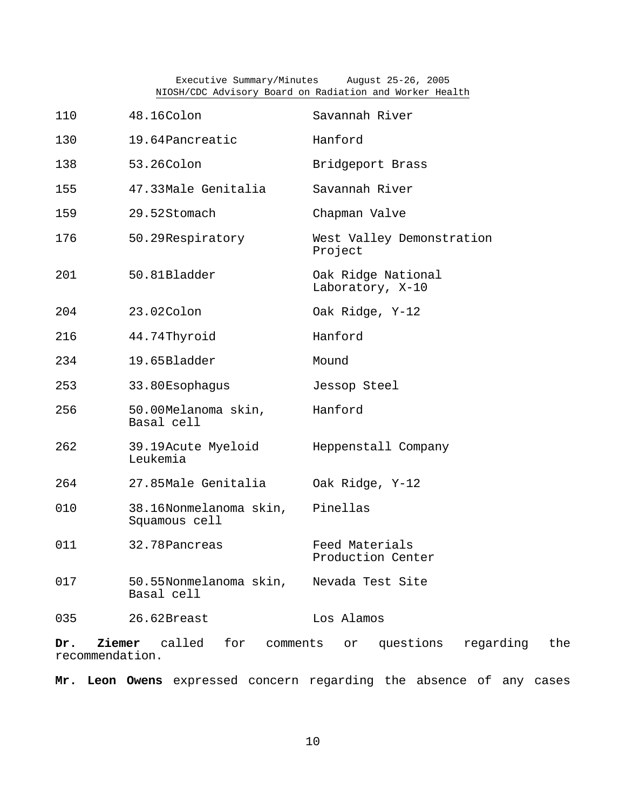Executive Summary/Minutes August 25-26, 2005 NIOSH/CDC Advisory Board on Radiation and Worker Health

| 110  | 48.16Colon                              | Savannah River                         |
|------|-----------------------------------------|----------------------------------------|
| 130  | 19.64Pancreatic                         | Hanford                                |
| 138  | 53.26Colon                              | Bridgeport Brass                       |
| 155  | 47.33Male Genitalia                     | Savannah River                         |
| 159  | 29.52Stomach                            | Chapman Valve                          |
| 176  | 50.29Respiratory                        | West Valley Demonstration<br>Project   |
| 201  | 50.81Bladder                            | Oak Ridge National<br>Laboratory, X-10 |
| 204  | 23.02Colon                              | Oak Ridge, Y-12                        |
| 216  | 44.74Thyroid                            | Hanford                                |
| 234. | 19.65Bladder                            | Mound                                  |
| 253  | 33.80Esophagus                          | Jessop Steel                           |
| 256  | 50.00Melanoma skin,<br>Basal cell       | Hanford                                |
| 262  | 39.19Acute Myeloid<br>Leukemia          | Heppenstall Company                    |
| 264  | 27.85Male Genitalia                     | Oak Ridge, Y-12                        |
| 010  | 38.16Nonmelanoma skin,<br>Squamous cell | Pinellas                               |
| 011  | 32.78 Pancreas                          | Feed Materials<br>Production Center    |
| 017  | 50.55Nonmelanoma skin,<br>Basal cell    | Nevada Test Site                       |
| 035  | 26.62Breast                             | Los Alamos                             |
|      |                                         |                                        |

**Dr. Ziemer** called for comments or questions regarding the recommendation.

**Mr. Leon Owens** expressed concern regarding the absence of any cases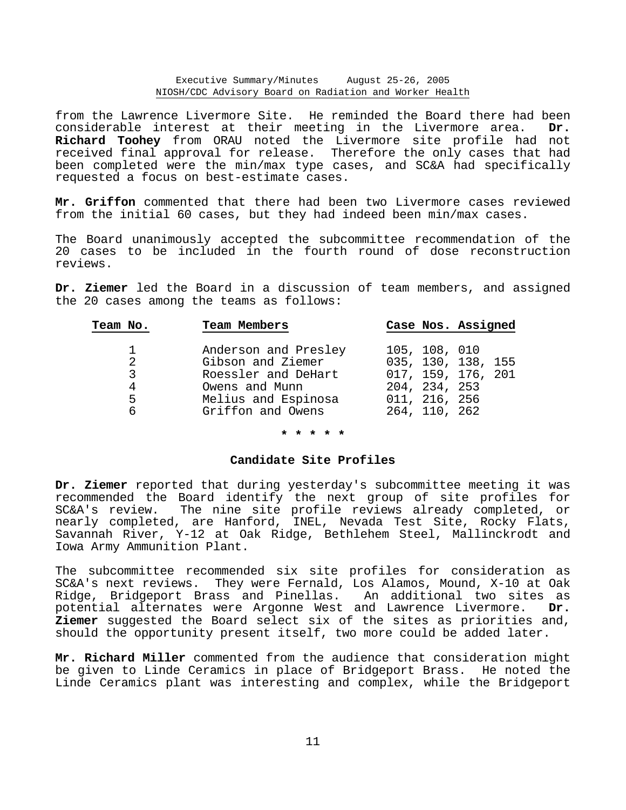#### Executive Summary/Minutes August 25-26, 2005 NIOSH/CDC Advisory Board on Radiation and Worker Health

from the Lawrence Livermore Site. He reminded the Board there had been considerable interest at their meeting in the Livermore area. **Dr. Richard Toohey** from ORAU noted the Livermore site profile had not received final approval for release. Therefore the only cases that had been completed were the min/max type cases, and SC&A had specifically requested a focus on best-estimate cases.

**Mr. Griffon** commented that there had been two Livermore cases reviewed from the initial 60 cases, but they had indeed been min/max cases.

The Board unanimously accepted the subcommittee recommendation of the 20 cases to be included in the fourth round of dose reconstruction reviews.

**Dr. Ziemer** led the Board in a discussion of team members, and assigned the 20 cases among the teams as follows:

| Team No. | Team Members         | Case Nos. Assigned |  |
|----------|----------------------|--------------------|--|
|          |                      |                    |  |
|          | Anderson and Presley | 105, 108, 010      |  |
| 2        | Gibson and Ziemer    | 035, 130, 138, 155 |  |
| 3        | Roessler and DeHart  | 017, 159, 176, 201 |  |
|          | Owens and Munn       | 204, 234, 253      |  |
| 5        | Melius and Espinosa  | 011, 216, 256      |  |
| 6        | Griffon and Owens    | 264, 110, 262      |  |

#### **\* \* \* \* \***

#### **Candidate Site Profiles**

**Dr. Ziemer** reported that during yesterday's subcommittee meeting it was recommended the Board identify the next group of site profiles for SC&A's review. The nine site profile reviews already completed, or nearly completed, are Hanford, INEL, Nevada Test Site, Rocky Flats, Savannah River, Y-12 at Oak Ridge, Bethlehem Steel, Mallinckrodt and Iowa Army Ammunition Plant.

The subcommittee recommended six site profiles for consideration as SC&A's next reviews. They were Fernald, Los Alamos, Mound, X-10 at Oak Ridge, Bridgeport Brass and Pinellas. An additional two sites as potential alternates were Argonne West and Lawrence Livermore. **Dr. Ziemer** suggested the Board select six of the sites as priorities and, should the opportunity present itself, two more could be added later.

**Mr. Richard Miller** commented from the audience that consideration might be given to Linde Ceramics in place of Bridgeport Brass. He noted the Linde Ceramics plant was interesting and complex, while the Bridgeport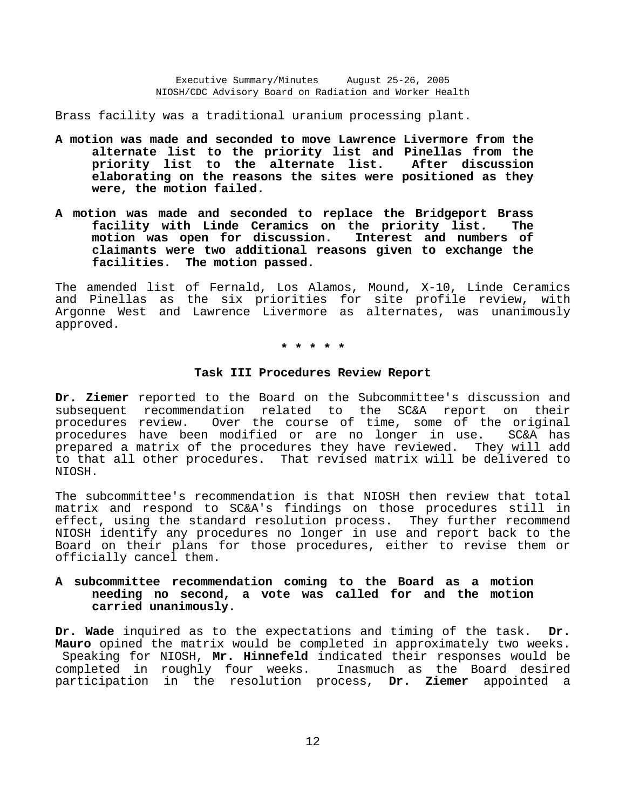Brass facility was a traditional uranium processing plant.

- **A motion was made and seconded to move Lawrence Livermore from the alternate list to the priority list and Pinellas from the priority list to the alternate list. After discussion elaborating on the reasons the sites were positioned as they were, the motion failed.**
- **A motion was made and seconded to replace the Bridgeport Brass facility with Linde Ceramics on the priority list. The** motion was open for discussion. **claimants were two additional reasons given to exchange the facilities. The motion passed.**

The amended list of Fernald, Los Alamos, Mound, X-10, Linde Ceramics and Pinellas as the six priorities for site profile review, with Argonne West and Lawrence Livermore as alternates, was unanimously approved.

**\* \* \* \* \*** 

#### **Task III Procedures Review Report**

**Dr. Ziemer** reported to the Board on the Subcommittee's discussion and subsequent recommendation related to the SC&A report on their procedures review. Over the course of time, some of the original procedures have been modified or are no longer in use. SC&A has prepared a matrix of the procedures they have reviewed. They will add to that all other procedures. That revised matrix will be delivered to NIOSH.

The subcommittee's recommendation is that NIOSH then review that total matrix and respond to SC&A's findings on those procedures still in effect, using the standard resolution process. They further recommend NIOSH identify any procedures no longer in use and report back to the Board on their plans for those procedures, either to revise them or officially cancel them.

# **A subcommittee recommendation coming to the Board as a motion needing no second, a vote was called for and the motion carried unanimously.**

**Dr. Wade** inquired as to the expectations and timing of the task. **Dr. Mauro** opined the matrix would be completed in approximately two weeks. Speaking for NIOSH, **Mr. Hinnefeld** indicated their responses would be completed in roughly four weeks. Inasmuch as the Board desired participation in the resolution process, **Dr. Ziemer** appointed a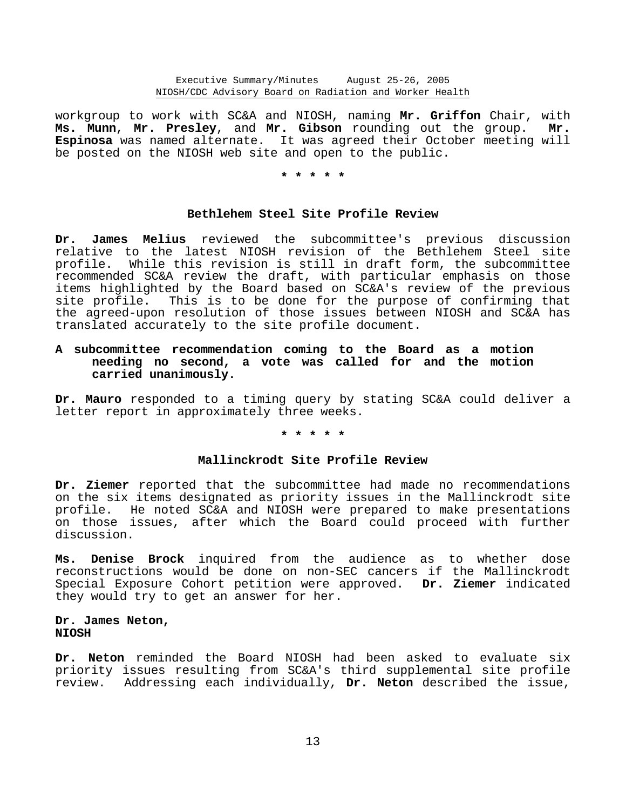workgroup to work with SC&A and NIOSH, naming **Mr. Griffon** Chair, with **Ms. Munn**, **Mr. Presley**, and **Mr. Gibson** rounding out the group. **Mr. Espinosa** was named alternate. It was agreed their October meeting will be posted on the NIOSH web site and open to the public.

## **\* \* \* \* \***

# **Bethlehem Steel Site Profile Review**

**Dr. James Melius** reviewed the subcommittee's previous discussion relative to the latest NIOSH revision of the Bethlehem Steel site profile. While this revision is still in draft form, the subcommittee recommended SC&A review the draft, with particular emphasis on those items highlighted by the Board based on SC&A's review of the previous site profile. This is to be done for the purpose of confirming that the agreed-upon resolution of those issues between NIOSH and SC&A has translated accurately to the site profile document.

# **A subcommittee recommendation coming to the Board as a motion needing no second, a vote was called for and the motion carried unanimously.**

**Dr. Mauro** responded to a timing query by stating SC&A could deliver a letter report in approximately three weeks.

#### **\* \* \* \* \***

#### **Mallinckrodt Site Profile Review**

**Dr. Ziemer** reported that the subcommittee had made no recommendations on the six items designated as priority issues in the Mallinckrodt site profile. He noted SC&A and NIOSH were prepared to make presentations on those issues, after which the Board could proceed with further discussion.

**Ms. Denise Brock** inquired from the audience as to whether dose reconstructions would be done on non-SEC cancers if the Mallinckrodt Special Exposure Cohort petition were approved. **Dr. Ziemer** indicated they would try to get an answer for her.

# **Dr. James Neton, NIOSH**

**Dr. Neton** reminded the Board NIOSH had been asked to evaluate six priority issues resulting from SC&A's third supplemental site profile review. Addressing each individually, **Dr. Neton** described the issue,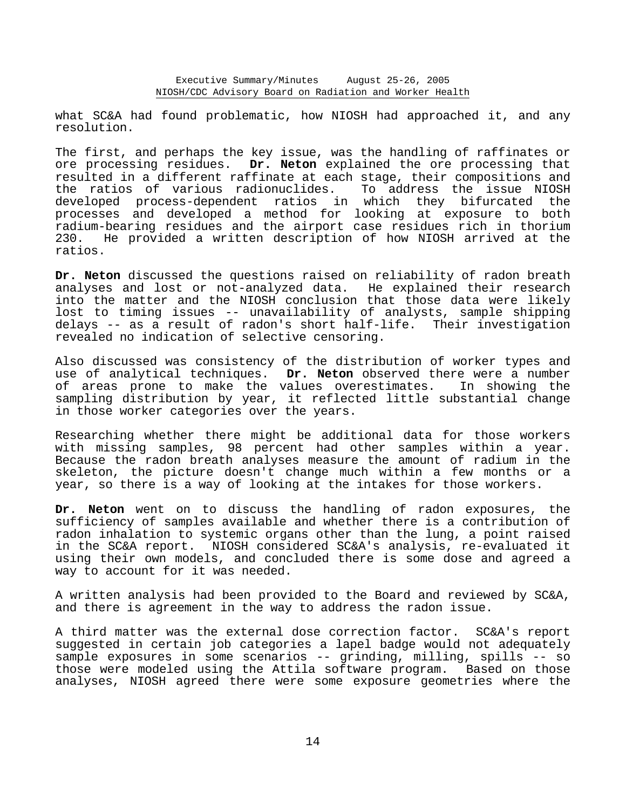what SC&A had found problematic, how NIOSH had approached it, and any resolution.

The first, and perhaps the key issue, was the handling of raffinates or ore processing residues. **Dr. Neton** explained the ore processing that resulted in a different raffinate at each stage, their compositions and the ratios of various radionuclides. To address the issue NIOSH developed process-dependent ratios in which they bifurcated the processes and developed a method for looking at exposure to both radium-bearing residues and the airport case residues rich in thorium 230. He provided a written description of how NIOSH arrived at the ratios.

**Dr. Neton** discussed the questions raised on reliability of radon breath analyses and lost or not-analyzed data. He explained their research into the matter and the NIOSH conclusion that those data were likely lost to timing issues -- unavailability of analysts, sample shipping delays -- as a result of radon's short half-life. Their investigation revealed no indication of selective censoring.

Also discussed was consistency of the distribution of worker types and use of analytical techniques. **Dr. Neton** observed there were a number of areas prone to make the values overestimates. In showing the sampling distribution by year, it reflected little substantial change in those worker categories over the years.

Researching whether there might be additional data for those workers with missing samples, 98 percent had other samples within a year. Because the radon breath analyses measure the amount of radium in the skeleton, the picture doesn't change much within a few months or a year, so there is a way of looking at the intakes for those workers.

**Dr. Neton** went on to discuss the handling of radon exposures, the sufficiency of samples available and whether there is a contribution of radon inhalation to systemic organs other than the lung, a point raised in the SC&A report. NIOSH considered SC&A's analysis, re-evaluated it using their own models, and concluded there is some dose and agreed a way to account for it was needed.

A written analysis had been provided to the Board and reviewed by SC&A, and there is agreement in the way to address the radon issue.

A third matter was the external dose correction factor. SC&A's report suggested in certain job categories a lapel badge would not adequately sample exposures in some scenarios -- grinding, milling, spills -- so those were modeled using the Attila software program. Based on those analyses, NIOSH agreed there were some exposure geometries where the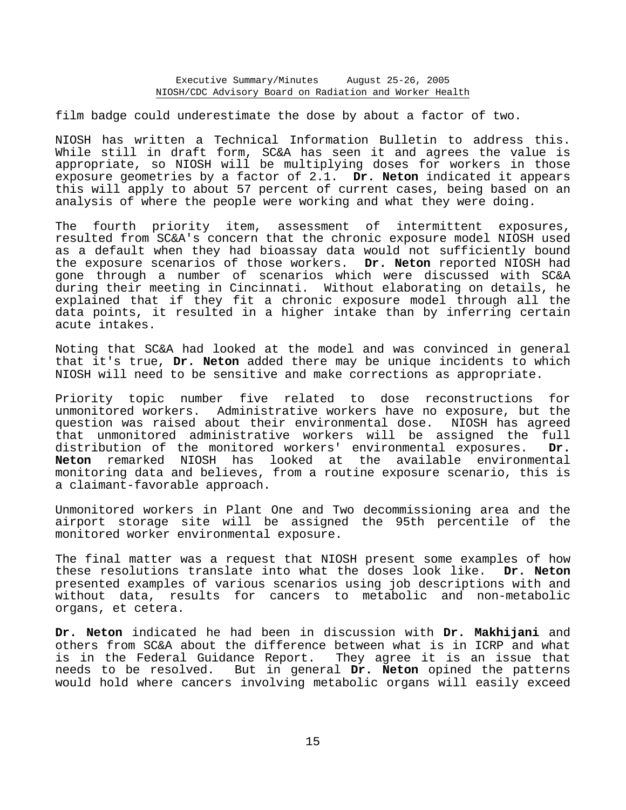film badge could underestimate the dose by about a factor of two.

NIOSH has written a Technical Information Bulletin to address this. While still in draft form, SC&A has seen it and agrees the value is appropriate, so NIOSH will be multiplying doses for workers in those exposure geometries by a factor of 2.1. **Dr. Neton** indicated it appears this will apply to about 57 percent of current cases, being based on an analysis of where the people were working and what they were doing.

The fourth priority item, assessment of intermittent exposures, resulted from SC&A's concern that the chronic exposure model NIOSH used as a default when they had bioassay data would not sufficiently bound the exposure scenarios of those workers. **Dr. Neton** reported NIOSH had gone through a number of scenarios which were discussed with SC&A during their meeting in Cincinnati. Without elaborating on details, he explained that if they fit a chronic exposure model through all the data points, it resulted in a higher intake than by inferring certain acute intakes.

Noting that SC&A had looked at the model and was convinced in general that it's true, **Dr. Neton** added there may be unique incidents to which NIOSH will need to be sensitive and make corrections as appropriate.

Priority topic number five related to dose reconstructions for unmonitored workers. Administrative workers have no exposure, but the question was raised about their environmental dose. NIOSH has agreed that unmonitored administrative workers will be assigned the full distribution of the monitored workers' environmental exposures. **Dr. Neton** remarked NIOSH has looked at the available environmental monitoring data and believes, from a routine exposure scenario, this is a claimant-favorable approach.

Unmonitored workers in Plant One and Two decommissioning area and the airport storage site will be assigned the 95th percentile of the monitored worker environmental exposure.

The final matter was a request that NIOSH present some examples of how these resolutions translate into what the doses look like. **Dr. Neton** presented examples of various scenarios using job descriptions with and without data, results for cancers to metabolic and non-metabolic organs, et cetera.

**Dr. Neton** indicated he had been in discussion with **Dr. Makhijani** and others from SC&A about the difference between what is in ICRP and what is in the Federal Guidance Report. They agree it is an issue that needs to be resolved. But in general **Dr. Neton** opined the patterns would hold where cancers involving metabolic organs will easily exceed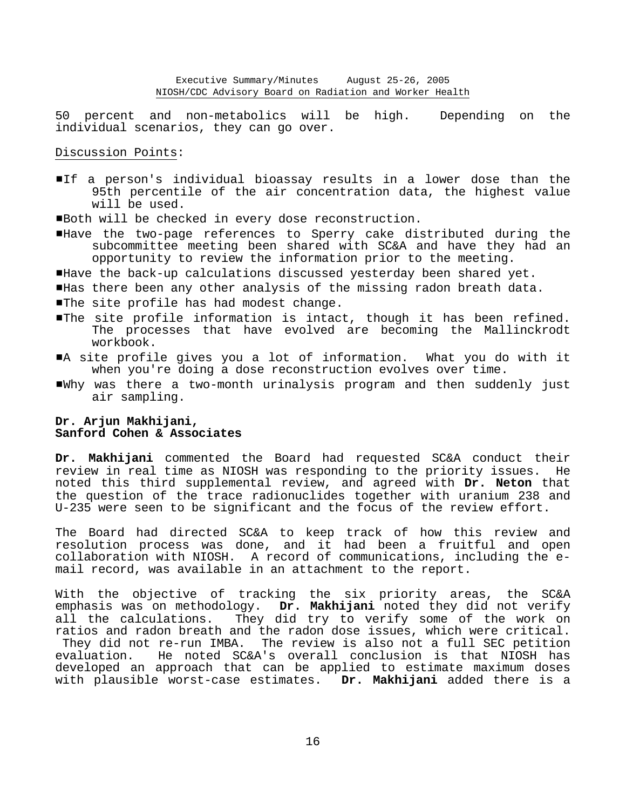50 percent and non-metabolics will be high. Depending on the individual scenarios, they can go over.

Discussion Points:

If a person's individual bioassay results in a lower dose than the 95th percentile of the air concentration data, the highest value will be used.

Both will be checked in every dose reconstruction.

- #Have the two-page references to Sperry cake distributed during the subcommittee meeting been shared with SC&A and have they had an opportunity to review the information prior to the meeting.
- Have the back-up calculations discussed yesterday been shared yet.
- #Has there been any other analysis of the missing radon breath data.
- **The site profile has had modest change.**
- #The site profile information is intact, though it has been refined. The processes that have evolved are becoming the Mallinckrodt workbook.
- #A site profile gives you a lot of information. What you do with it when you're doing a dose reconstruction evolves over time.
- #Why was there a two-month urinalysis program and then suddenly just air sampling.

# **Dr. Arjun Makhijani, Sanford Cohen & Associates**

**Dr. Makhijani** commented the Board had requested SC&A conduct their review in real time as NIOSH was responding to the priority issues. He noted this third supplemental review, and agreed with **Dr. Neton** that the question of the trace radionuclides together with uranium 238 and U-235 were seen to be significant and the focus of the review effort.

The Board had directed SC&A to keep track of how this review and resolution process was done, and it had been a fruitful and open collaboration with NIOSH. A record of communications, including the e mail record, was available in an attachment to the report.

With the objective of tracking the six priority areas, the SC&A emphasis was on methodology. **Dr. Makhijani** noted they did not verify all the calculations. They did try to verify some of the work on ratios and radon breath and the radon dose issues, which were critical. They did not re-run IMBA. The review is also not a full SEC petition evaluation. He noted SC&A's overall conclusion is that NIOSH has developed an approach that can be applied to estimate maximum doses with plausible worst-case estimates. **Dr. Makhijani** added there is a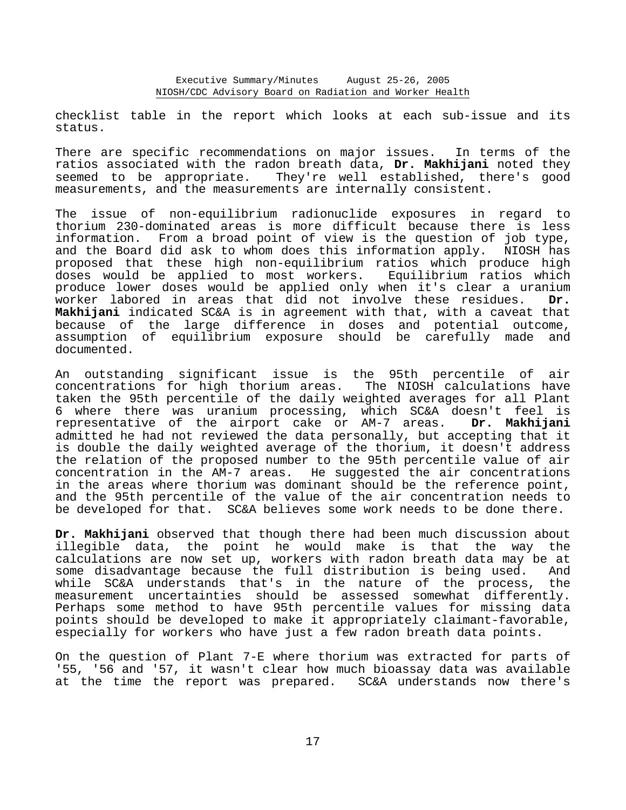checklist table in the report which looks at each sub-issue and its status.

There are specific recommendations on major issues. In terms of the ratios associated with the radon breath data, **Dr. Makhijani** noted they seemed to be appropriate. They're well established, there's good measurements, and the measurements are internally consistent.

The issue of non-equilibrium radionuclide exposures in regard to thorium 230-dominated areas is more difficult because there is less information. From a broad point of view is the question of job type, and the Board did ask to whom does this information apply. NIOSH has proposed that these high non-equilibrium ratios which produce high<br>doses would be applied to most workers. Equilibrium ratios which doses would be applied to most workers. produce lower doses would be applied only when it's clear a uranium worker labored in areas that did not involve these residues. **Dr. Makhijani** indicated SC&A is in agreement with that, with a caveat that because of the large difference in doses and potential outcome, assumption of equilibrium exposure should be carefully made and documented.

An outstanding significant issue is the 95th percentile of air concentrations for high thorium areas. The NIOSH calculations have taken the 95th percentile of the daily weighted averages for all Plant 6 where there was uranium processing, which SC&A doesn't feel is representative of the airport cake or AM-7 areas. **Dr. Makhijani** admitted he had not reviewed the data personally, but accepting that it is double the daily weighted average of the thorium, it doesn't address the relation of the proposed number to the 95th percentile value of air concentration in the AM-7 areas. He suggested the air concentrations in the areas where thorium was dominant should be the reference point, and the 95th percentile of the value of the air concentration needs to be developed for that. SC&A believes some work needs to be done there.

**Dr. Makhijani** observed that though there had been much discussion about illegible data, the point he would make is that the way the calculations are now set up, workers with radon breath data may be at some disadvantage because the full distribution is being used. And while SC&A understands that's in the nature of the process, the measurement uncertainties should be assessed somewhat differently. Perhaps some method to have 95th percentile values for missing data points should be developed to make it appropriately claimant-favorable, especially for workers who have just a few radon breath data points.

On the question of Plant 7-E where thorium was extracted for parts of '55, '56 and '57, it wasn't clear how much bioassay data was available at the time the report was prepared. SC&A understands now there's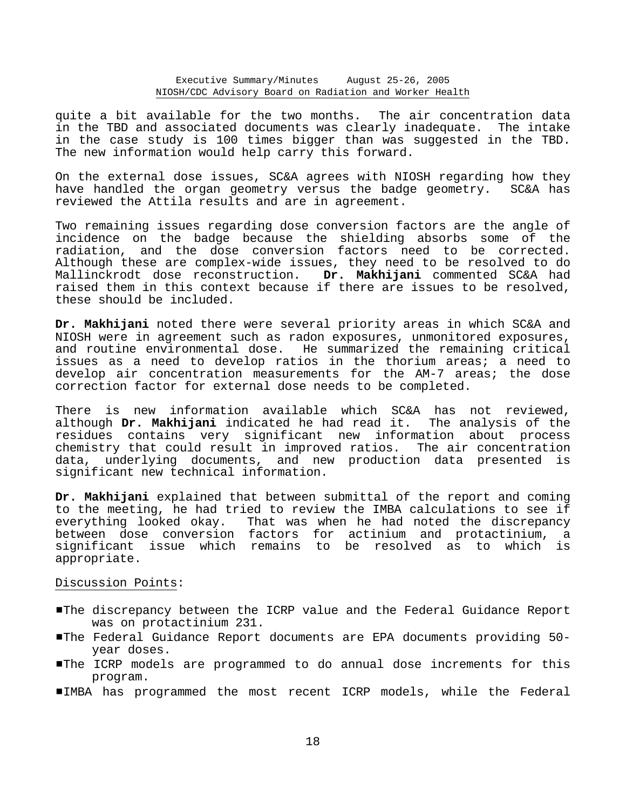quite a bit available for the two months. The air concentration data in the TBD and associated documents was clearly inadequate. The intake in the case study is 100 times bigger than was suggested in the TBD. The new information would help carry this forward.

On the external dose issues, SC&A agrees with NIOSH regarding how they have handled the organ geometry versus the badge geometry. SC&A has reviewed the Attila results and are in agreement.

Two remaining issues regarding dose conversion factors are the angle of incidence on the badge because the shielding absorbs some of the radiation, and the dose conversion factors need to be corrected. Although these are complex-wide issues, they need to be resolved to do Mallinckrodt dose reconstruction. **Dr. Makhijani** commented SC&A had raised them in this context because if there are issues to be resolved, these should be included.

**Dr. Makhijani** noted there were several priority areas in which SC&A and NIOSH were in agreement such as radon exposures, unmonitored exposures, and routine environmental dose. He summarized the remaining critical issues as a need to develop ratios in the thorium areas; a need to develop air concentration measurements for the AM-7 areas; the dose correction factor for external dose needs to be completed.

There is new information available which SC&A has not reviewed, although **Dr. Makhijani** indicated he had read it. The analysis of the residues contains very significant new information about process chemistry that could result in improved ratios. The air concentration data, underlying documents, and new production data presented is significant new technical information.

**Dr. Makhijani** explained that between submittal of the report and coming to the meeting, he had tried to review the IMBA calculations to see if everything looked okay. That was when he had noted the discrepancy between dose conversion factors for actinium and protactinium, a significant issue which remains to be resolved as to which is appropriate.

Discussion Points:

- #The discrepancy between the ICRP value and the Federal Guidance Report was on protactinium 231.
- #The Federal Guidance Report documents are EPA documents providing 50 year doses.
- #The ICRP models are programmed to do annual dose increments for this program.
- #IMBA has programmed the most recent ICRP models, while the Federal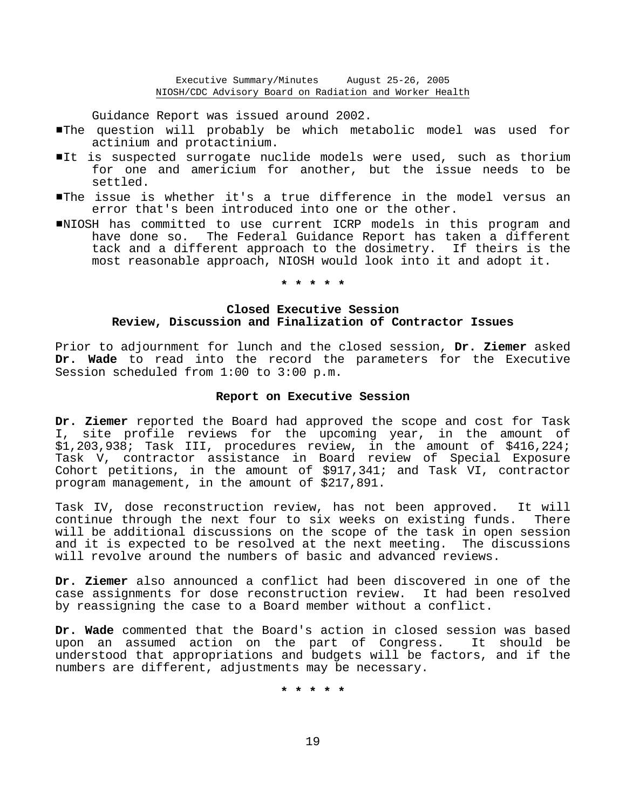Guidance Report was issued around 2002.

- #The question will probably be which metabolic model was used for actinium and protactinium.
- It is suspected surrogate nuclide models were used, such as thorium for one and americium for another, but the issue needs to be settled.
- #The issue is whether it's a true difference in the model versus an error that's been introduced into one or the other.
- #NIOSH has committed to use current ICRP models in this program and have done so. The Federal Guidance Report has taken a different tack and a different approach to the dosimetry. If theirs is the most reasonable approach, NIOSH would look into it and adopt it.

**\* \* \* \* \*** 

# **Closed Executive Session Review, Discussion and Finalization of Contractor Issues**

Prior to adjournment for lunch and the closed session, **Dr. Ziemer** asked **Dr. Wade** to read into the record the parameters for the Executive Session scheduled from 1:00 to 3:00 p.m.

#### **Report on Executive Session**

**Dr. Ziemer** reported the Board had approved the scope and cost for Task I, site profile reviews for the upcoming year, in the amount of \$1,203,938; Task III, procedures review, in the amount of \$416,224; Task V, contractor assistance in Board review of Special Exposure Cohort petitions, in the amount of \$917,341; and Task VI, contractor program management, in the amount of \$217,891.

Task IV, dose reconstruction review, has not been approved. It will continue through the next four to six weeks on existing funds. There will be additional discussions on the scope of the task in open session and it is expected to be resolved at the next meeting. The discussions will revolve around the numbers of basic and advanced reviews.

**Dr. Ziemer** also announced a conflict had been discovered in one of the case assignments for dose reconstruction review. It had been resolved by reassigning the case to a Board member without a conflict.

**Dr. Wade** commented that the Board's action in closed session was based upon an assumed action on the part of Congress. It should be understood that appropriations and budgets will be factors, and if the numbers are different, adjustments may be necessary.

**\* \* \* \* \***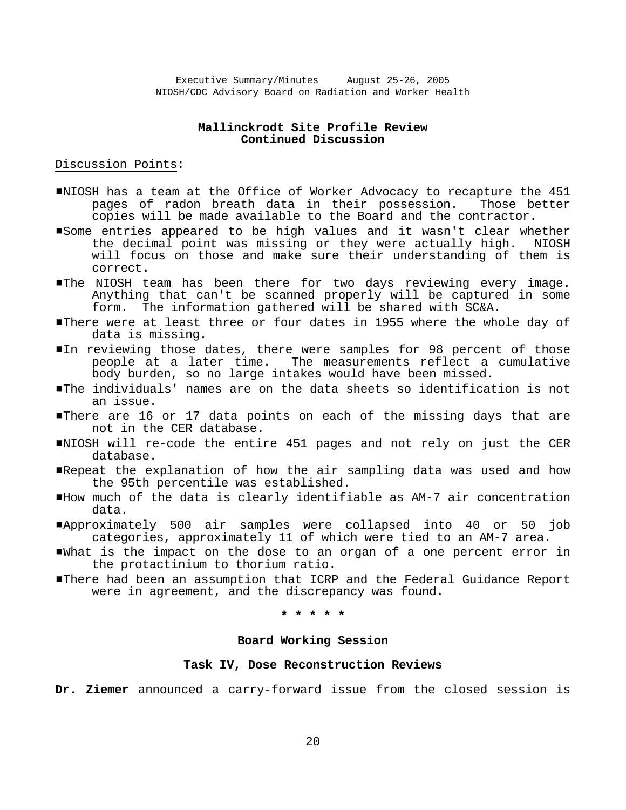# **Mallinckrodt Site Profile Review Continued Discussion**

## Discussion Points:

- #NIOSH has a team at the Office of Worker Advocacy to recapture the 451 pages of radon breath data in their possession. Those better copies will be made available to the Board and the contractor.
- Some entries appeared to be high values and it wasn't clear whether the decimal point was missing or they were actually high. NIOSH will focus on those and make sure their understanding of them is correct.
- **IThe NIOSH team has been there for two days reviewing every image.** Anything that can't be scanned properly will be captured in some form. The information gathered will be shared with SC&A.
- **I**There were at least three or four dates in 1955 where the whole day of data is missing.
- In reviewing those dates, there were samples for 98 percent of those people at a later time. The measurements reflect a cumulative body burden, so no large intakes would have been missed.
- #The individuals' names are on the data sheets so identification is not an issue.
- There are 16 or 17 data points on each of the missing days that are not in the CER database.
- #NIOSH will re-code the entire 451 pages and not rely on just the CER database.
- #Repeat the explanation of how the air sampling data was used and how the 95th percentile was established.
- #How much of the data is clearly identifiable as AM-7 air concentration data.
- #Approximately 500 air samples were collapsed into 40 or 50 job categories, approximately 11 of which were tied to an AM-7 area.
- #What is the impact on the dose to an organ of a one percent error in the protactinium to thorium ratio.
- #There had been an assumption that ICRP and the Federal Guidance Report were in agreement, and the discrepancy was found.

**\* \* \* \* \*** 

## **Board Working Session**

## **Task IV, Dose Reconstruction Reviews**

**Dr. Ziemer** announced a carry-forward issue from the closed session is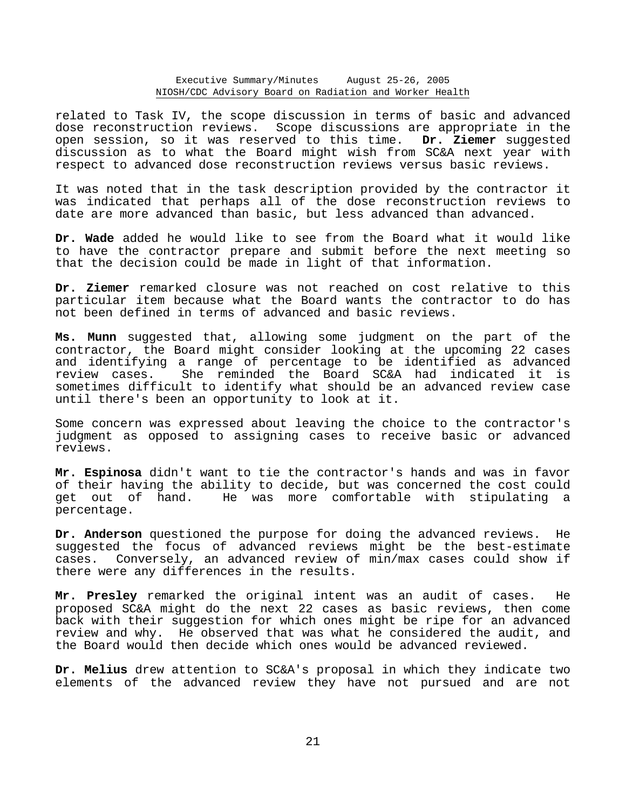#### Executive Summary/Minutes August 25-26, 2005 NIOSH/CDC Advisory Board on Radiation and Worker Health

related to Task IV, the scope discussion in terms of basic and advanced dose reconstruction reviews. Scope discussions are appropriate in the open session, so it was reserved to this time. **Dr. Ziemer** suggested discussion as to what the Board might wish from SC&A next year with respect to advanced dose reconstruction reviews versus basic reviews.

It was noted that in the task description provided by the contractor it was indicated that perhaps all of the dose reconstruction reviews to date are more advanced than basic, but less advanced than advanced.

**Dr. Wade** added he would like to see from the Board what it would like to have the contractor prepare and submit before the next meeting so that the decision could be made in light of that information.

**Dr. Ziemer** remarked closure was not reached on cost relative to this particular item because what the Board wants the contractor to do has not been defined in terms of advanced and basic reviews.

**Ms. Munn** suggested that, allowing some judgment on the part of the contractor, the Board might consider looking at the upcoming 22 cases and identifying a range of percentage to be identified as advanced review cases. She reminded the Board SC&A had indicated it is sometimes difficult to identify what should be an advanced review case until there's been an opportunity to look at it.

Some concern was expressed about leaving the choice to the contractor's judgment as opposed to assigning cases to receive basic or advanced reviews.

**Mr. Espinosa** didn't want to tie the contractor's hands and was in favor of their having the ability to decide, but was concerned the cost could get out of hand. He was more comfortable with stipulating a percentage.

**Dr. Anderson** questioned the purpose for doing the advanced reviews. He suggested the focus of advanced reviews might be the best-estimate cases. Conversely, an advanced review of min/max cases could show if there were any differences in the results.

**Mr. Presley** remarked the original intent was an audit of cases. He proposed SC&A might do the next 22 cases as basic reviews, then come back with their suggestion for which ones might be ripe for an advanced review and why. He observed that was what he considered the audit, and the Board would then decide which ones would be advanced reviewed.

**Dr. Melius** drew attention to SC&A's proposal in which they indicate two elements of the advanced review they have not pursued and are not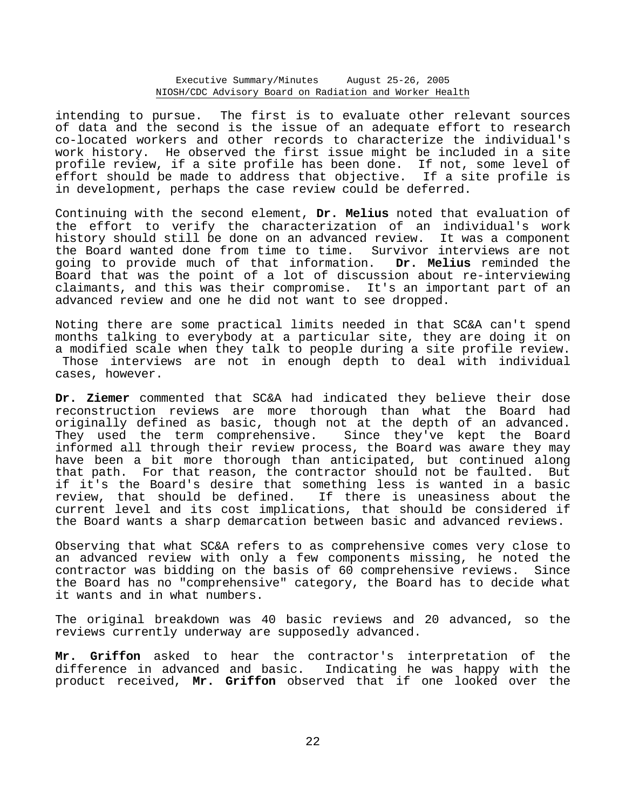#### Executive Summary/Minutes August 25-26, 2005 NIOSH/CDC Advisory Board on Radiation and Worker Health

intending to pursue. The first is to evaluate other relevant sources of data and the second is the issue of an adequate effort to research co-located workers and other records to characterize the individual's work history. He observed the first issue might be included in a site profile review, if a site profile has been done. If not, some level of effort should be made to address that objective. If a site profile is in development, perhaps the case review could be deferred.

Continuing with the second element, **Dr. Melius** noted that evaluation of the effort to verify the characterization of an individual's work history should still be done on an advanced review. It was a component the Board wanted done from time to time. Survivor interviews are not going to provide much of that information. **Dr. Melius** reminded the Board that was the point of a lot of discussion about re-interviewing claimants, and this was their compromise. It's an important part of an advanced review and one he did not want to see dropped.

Noting there are some practical limits needed in that SC&A can't spend months talking to everybody at a particular site, they are doing it on a modified scale when they talk to people during a site profile review. Those interviews are not in enough depth to deal with individual cases, however.

**Dr. Ziemer** commented that SC&A had indicated they believe their dose reconstruction reviews are more thorough than what the Board had originally defined as basic, though not at the depth of an advanced. They used the term comprehensive. Since they've kept the Board informed all through their review process, the Board was aware they may have been a bit more thorough than anticipated, but continued along that path. For that reason, the contractor should not be faulted. But if it's the Board's desire that something less is wanted in a basic review, that should be defined. If there is uneasiness about the current level and its cost implications, that should be considered if the Board wants a sharp demarcation between basic and advanced reviews.

Observing that what SC&A refers to as comprehensive comes very close to an advanced review with only a few components missing, he noted the contractor was bidding on the basis of 60 comprehensive reviews. Since the Board has no "comprehensive" category, the Board has to decide what it wants and in what numbers.

The original breakdown was 40 basic reviews and 20 advanced, so the reviews currently underway are supposedly advanced.

**Mr. Griffon** asked to hear the contractor's interpretation of the difference in advanced and basic. Indicating he was happy with the product received, **Mr. Griffon** observed that if one looked over the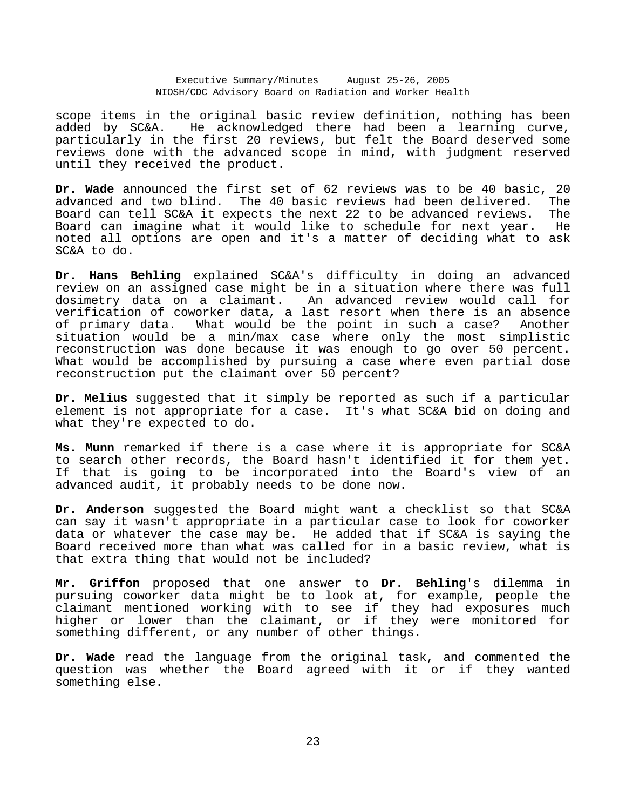scope items in the original basic review definition, nothing has been added by SC&A. He acknowledged there had been a learning curve, particularly in the first 20 reviews, but felt the Board deserved some reviews done with the advanced scope in mind, with judgment reserved until they received the product.

**Dr. Wade** announced the first set of 62 reviews was to be 40 basic, 20 advanced and two blind. The 40 basic reviews had been delivered. The Board can tell SC&A it expects the next 22 to be advanced reviews. The Board can imagine what it would like to schedule for next year. He noted all options are open and it's a matter of deciding what to ask SC&A to do.

**Dr. Hans Behling** explained SC&A's difficulty in doing an advanced review on an assigned case might be in a situation where there was full dosimetry data on a claimant. An advanced review would call for verification of coworker data, a last resort when there is an absence of primary data. What would be the point in such a case? Another situation would be a min/max case where only the most simplistic reconstruction was done because it was enough to go over 50 percent. What would be accomplished by pursuing a case where even partial dose reconstruction put the claimant over 50 percent?

**Dr. Melius** suggested that it simply be reported as such if a particular element is not appropriate for a case. It's what SC&A bid on doing and what they're expected to do.

**Ms. Munn** remarked if there is a case where it is appropriate for SC&A to search other records, the Board hasn't identified it for them yet. If that is going to be incorporated into the Board's view of an advanced audit, it probably needs to be done now.

**Dr. Anderson** suggested the Board might want a checklist so that SC&A can say it wasn't appropriate in a particular case to look for coworker data or whatever the case may be. He added that if SC&A is saying the Board received more than what was called for in a basic review, what is that extra thing that would not be included?

**Mr. Griffon** proposed that one answer to **Dr. Behling**'s dilemma in pursuing coworker data might be to look at, for example, people the claimant mentioned working with to see if they had exposures much higher or lower than the claimant, or if they were monitored for something different, or any number of other things.

**Dr. Wade** read the language from the original task, and commented the question was whether the Board agreed with it or if they wanted something else.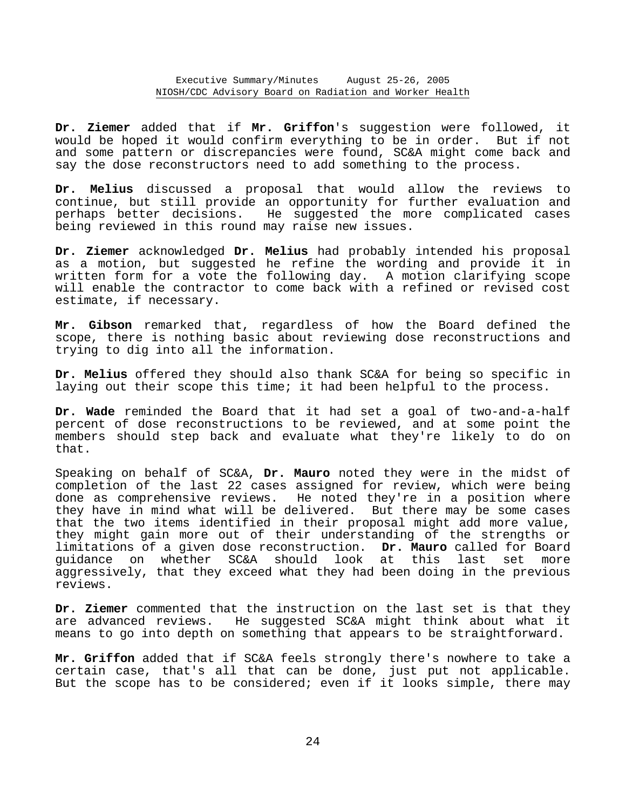**Dr. Ziemer** added that if **Mr. Griffon**'s suggestion were followed, it would be hoped it would confirm everything to be in order. But if not and some pattern or discrepancies were found, SC&A might come back and say the dose reconstructors need to add something to the process.

**Dr. Melius** discussed a proposal that would allow the reviews to continue, but still provide an opportunity for further evaluation and perhaps better decisions. He suggested the more complicated cases being reviewed in this round may raise new issues.

**Dr. Ziemer** acknowledged **Dr. Melius** had probably intended his proposal as a motion, but suggested he refine the wording and provide it in written form for a vote the following day. A motion clarifying scope will enable the contractor to come back with a refined or revised cost estimate, if necessary.

**Mr. Gibson** remarked that, regardless of how the Board defined the scope, there is nothing basic about reviewing dose reconstructions and trying to dig into all the information.

**Dr. Melius** offered they should also thank SC&A for being so specific in laying out their scope this time; it had been helpful to the process.

**Dr. Wade** reminded the Board that it had set a goal of two-and-a-half percent of dose reconstructions to be reviewed, and at some point the members should step back and evaluate what they're likely to do on that.

Speaking on behalf of SC&A, **Dr. Mauro** noted they were in the midst of completion of the last 22 cases assigned for review, which were being done as comprehensive reviews. He noted they're in a position where they have in mind what will be delivered. But there may be some cases that the two items identified in their proposal might add more value, they might gain more out of their understanding of the strengths or limitations of a given dose reconstruction. **Dr. Mauro** called for Board guidance on whether SC&A should look at this last set more aggressively, that they exceed what they had been doing in the previous reviews.

**Dr. Ziemer** commented that the instruction on the last set is that they are advanced reviews. He suggested SC&A might think about what it means to go into depth on something that appears to be straightforward.

**Mr. Griffon** added that if SC&A feels strongly there's nowhere to take a certain case, that's all that can be done, just put not applicable. But the scope has to be considered; even if it looks simple, there may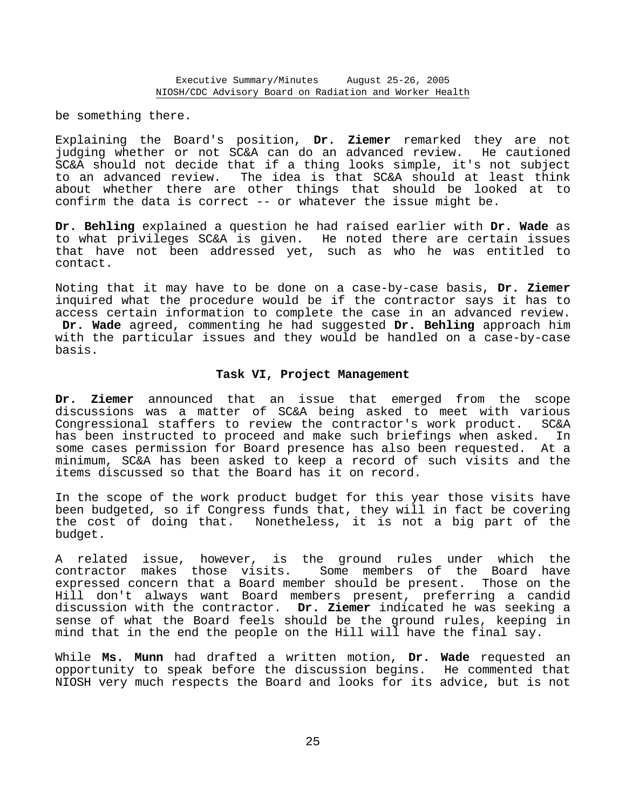be something there.

Explaining the Board's position, **Dr. Ziemer** remarked they are not judging whether or not SC&A can do an advanced review. He cautioned SC&A should not decide that if a thing looks simple, it's not subject to an advanced review. The idea is that SC&A should at least think about whether there are other things that should be looked at to confirm the data is correct -- or whatever the issue might be.

**Dr. Behling** explained a question he had raised earlier with **Dr. Wade** as to what privileges SC&A is given. He noted there are certain issues that have not been addressed yet, such as who he was entitled to contact.

Noting that it may have to be done on a case-by-case basis, **Dr. Ziemer** inquired what the procedure would be if the contractor says it has to access certain information to complete the case in an advanced review. **Dr. Wade** agreed, commenting he had suggested **Dr. Behling** approach him with the particular issues and they would be handled on a case-by-case basis.

#### **Task VI, Project Management**

**Dr. Ziemer** announced that an issue that emerged from the scope discussions was a matter of SC&A being asked to meet with various Congressional staffers to review the contractor's work product. SC&A has been instructed to proceed and make such briefings when asked. In some cases permission for Board presence has also been requested. At a minimum, SC&A has been asked to keep a record of such visits and the items discussed so that the Board has it on record.

In the scope of the work product budget for this year those visits have been budgeted, so if Congress funds that, they will in fact be covering the cost of doing that. Nonetheless, it is not a big part of the budget.

A related issue, however, is the ground rules under which the contractor makes those visits. Some members of the Board have expressed concern that a Board member should be present. Those on the Hill don't always want Board members present, preferring a candid discussion with the contractor. **Dr. Ziemer** indicated he was seeking a sense of what the Board feels should be the ground rules, keeping in mind that in the end the people on the Hill will have the final say.

While **Ms. Munn** had drafted a written motion, **Dr. Wade** requested an opportunity to speak before the discussion begins. He commented that NIOSH very much respects the Board and looks for its advice, but is not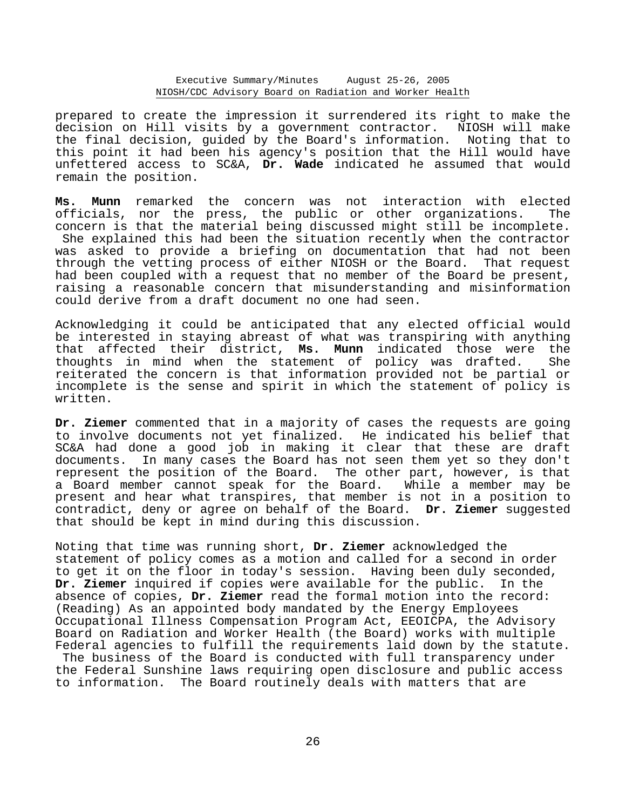prepared to create the impression it surrendered its right to make the decision on Hill visits by a government contractor. NIOSH will make the final decision, guided by the Board's information. Noting that to this point it had been his agency's position that the Hill would have unfettered access to SC&A, **Dr. Wade** indicated he assumed that would remain the position.

**Ms. Munn** remarked the concern was not interaction with elected officials, nor the press, the public or other organizations. The concern is that the material being discussed might still be incomplete. She explained this had been the situation recently when the contractor was asked to provide a briefing on documentation that had not been through the vetting process of either NIOSH or the Board. That request had been coupled with a request that no member of the Board be present, raising a reasonable concern that misunderstanding and misinformation could derive from a draft document no one had seen.

Acknowledging it could be anticipated that any elected official would be interested in staying abreast of what was transpiring with anything that affected their district, **Ms. Munn** indicated those were the thoughts in mind when the statement of policy was drafted. She reiterated the concern is that information provided not be partial or incomplete is the sense and spirit in which the statement of policy is written.

**Dr. Ziemer** commented that in a majority of cases the requests are going to involve documents not yet finalized. He indicated his belief that SC&A had done a good job in making it clear that these are draft documents. In many cases the Board has not seen them yet so they don't represent the position of the Board. The other part, however, is that<br>a Board member cannot speak for the Board. While a member may be a Board member cannot speak for the Board. While a member may be present and hear what transpires, that member is not in a position to contradict, deny or agree on behalf of the Board. **Dr. Ziemer** suggested that should be kept in mind during this discussion.

Noting that time was running short, **Dr. Ziemer** acknowledged the statement of policy comes as a motion and called for a second in order to get it on the floor in today's session. Having been duly seconded, **Dr. Ziemer** inquired if copies were available for the public. In the absence of copies, **Dr. Ziemer** read the formal motion into the record: (Reading) As an appointed body mandated by the Energy Employees Occupational Illness Compensation Program Act, EEOICPA, the Advisory Board on Radiation and Worker Health (the Board) works with multiple Federal agencies to fulfill the requirements laid down by the statute. The business of the Board is conducted with full transparency under the Federal Sunshine laws requiring open disclosure and public access to information. The Board routinely deals with matters that are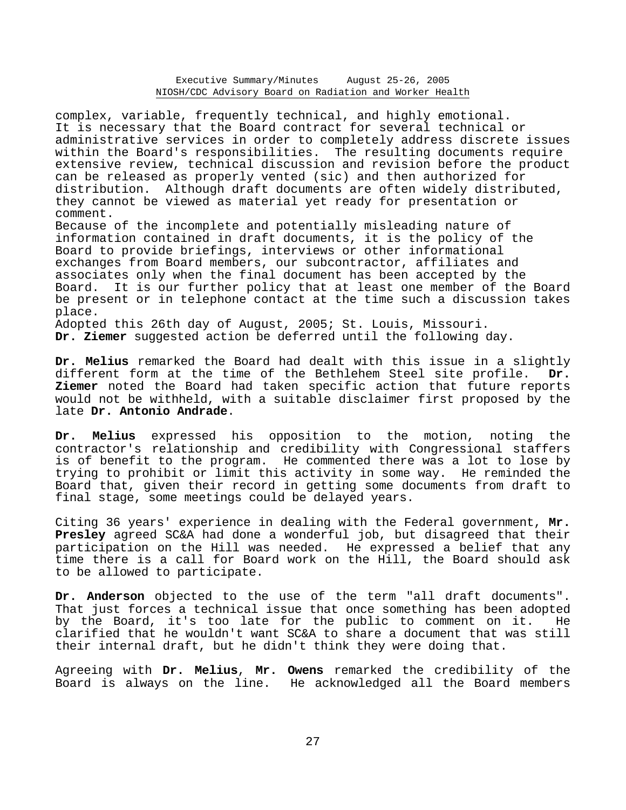#### Executive Summary/Minutes August 25-26, 2005 NIOSH/CDC Advisory Board on Radiation and Worker Health

complex, variable, frequently technical, and highly emotional. It is necessary that the Board contract for several technical or administrative services in order to completely address discrete issues within the Board's responsibilities. The resulting documents require extensive review, technical discussion and revision before the product can be released as properly vented (sic) and then authorized for distribution. Although draft documents are often widely distributed, they cannot be viewed as material yet ready for presentation or comment.

Because of the incomplete and potentially misleading nature of information contained in draft documents, it is the policy of the Board to provide briefings, interviews or other informational exchanges from Board members, our subcontractor, affiliates and associates only when the final document has been accepted by the Board. It is our further policy that at least one member of the Board be present or in telephone contact at the time such a discussion takes place.

Adopted this 26th day of August, 2005; St. Louis, Missouri. **Dr. Ziemer** suggested action be deferred until the following day.

**Dr. Melius** remarked the Board had dealt with this issue in a slightly different form at the time of the Bethlehem Steel site profile. **Dr. Ziemer** noted the Board had taken specific action that future reports would not be withheld, with a suitable disclaimer first proposed by the late **Dr. Antonio Andrade**.

**Dr. Melius** expressed his opposition to the motion, noting the contractor's relationship and credibility with Congressional staffers is of benefit to the program. He commented there was a lot to lose by trying to prohibit or limit this activity in some way. He reminded the Board that, given their record in getting some documents from draft to final stage, some meetings could be delayed years.

Citing 36 years' experience in dealing with the Federal government, **Mr. Presley** agreed SC&A had done a wonderful job, but disagreed that their participation on the Hill was needed. He expressed a belief that any time there is a call for Board work on the Hill, the Board should ask to be allowed to participate.

**Dr. Anderson** objected to the use of the term "all draft documents". That just forces a technical issue that once something has been adopted by the Board, it's too late for the public to comment on it. He clarified that he wouldn't want SC&A to share a document that was still their internal draft, but he didn't think they were doing that.

Agreeing with **Dr. Melius**, **Mr. Owens** remarked the credibility of the Board is always on the line. He acknowledged all the Board members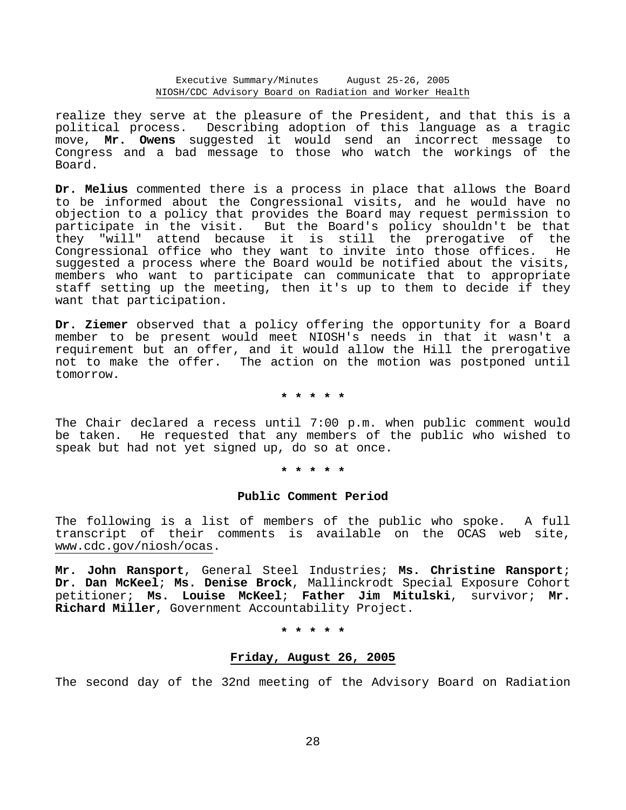Executive Summary/Minutes August 25-26, 2005 NIOSH/CDC Advisory Board on Radiation and Worker Health

realize they serve at the pleasure of the President, and that this is a political process. Describing adoption of this language as a tragic move, **Mr. Owens** suggested it would send an incorrect message to Congress and a bad message to those who watch the workings of the Board.

**Dr. Melius** commented there is a process in place that allows the Board to be informed about the Congressional visits, and he would have no objection to a policy that provides the Board may request permission to participate in the visit. But the Board's policy shouldn't be that they "will" attend because it is still the prerogative of the Congressional office who they want to invite into those offices. He suggested a process where the Board would be notified about the visits, members who want to participate can communicate that to appropriate staff setting up the meeting, then it's up to them to decide if they want that participation.

**Dr. Ziemer** observed that a policy offering the opportunity for a Board member to be present would meet NIOSH's needs in that it wasn't a requirement but an offer, and it would allow the Hill the prerogative not to make the offer. The action on the motion was postponed until tomorrow.

**\* \* \* \* \*** 

The Chair declared a recess until 7:00 p.m. when public comment would be taken. He requested that any members of the public who wished to speak but had not yet signed up, do so at once.

**\* \* \* \* \*** 

#### **Public Comment Period**

The following is a list of members of the public who spoke. A full transcript of their comments is available on the OCAS web site, www.cdc.gov/niosh/ocas.

**Mr. John Ransport**, General Steel Industries; **Ms. Christine Ransport**; **Dr. Dan McKeel**; **Ms. Denise Brock**, Mallinckrodt Special Exposure Cohort petitioner; **Ms. Louise McKeel**; **Father Jim Mitulski**, survivor; **Mr. Richard Miller**, Government Accountability Project.

**\* \* \* \* \*** 

## **Friday, August 26, 2005**

The second day of the 32nd meeting of the Advisory Board on Radiation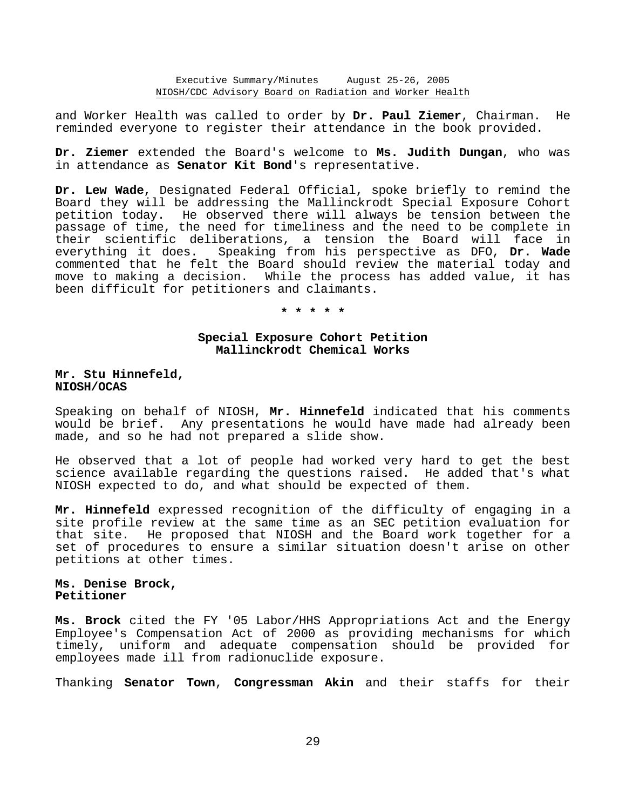and Worker Health was called to order by **Dr. Paul Ziemer**, Chairman. He reminded everyone to register their attendance in the book provided.

**Dr. Ziemer** extended the Board's welcome to **Ms. Judith Dungan**, who was in attendance as **Senator Kit Bond**'s representative.

**Dr. Lew Wade**, Designated Federal Official, spoke briefly to remind the Board they will be addressing the Mallinckrodt Special Exposure Cohort petition today. He observed there will always be tension between the passage of time, the need for timeliness and the need to be complete in their scientific deliberations, a tension the Board will face in everything it does. Speaking from his perspective as DFO, **Dr. Wade** commented that he felt the Board should review the material today and move to making a decision. While the process has added value, it has been difficult for petitioners and claimants.

**\* \* \* \* \*** 

# **Special Exposure Cohort Petition Mallinckrodt Chemical Works**

**Mr. Stu Hinnefeld, NIOSH/OCAS** 

Speaking on behalf of NIOSH, **Mr. Hinnefeld** indicated that his comments would be brief. Any presentations he would have made had already been made, and so he had not prepared a slide show.

He observed that a lot of people had worked very hard to get the best science available regarding the questions raised. He added that's what NIOSH expected to do, and what should be expected of them.

**Mr. Hinnefeld** expressed recognition of the difficulty of engaging in a site profile review at the same time as an SEC petition evaluation for that site. He proposed that NIOSH and the Board work together for a set of procedures to ensure a similar situation doesn't arise on other petitions at other times.

# **Ms. Denise Brock, Petitioner**

**Ms. Brock** cited the FY '05 Labor/HHS Appropriations Act and the Energy Employee's Compensation Act of 2000 as providing mechanisms for which timely, uniform and adequate compensation should be provided for employees made ill from radionuclide exposure.

Thanking **Senator Town**, **Congressman Akin** and their staffs for their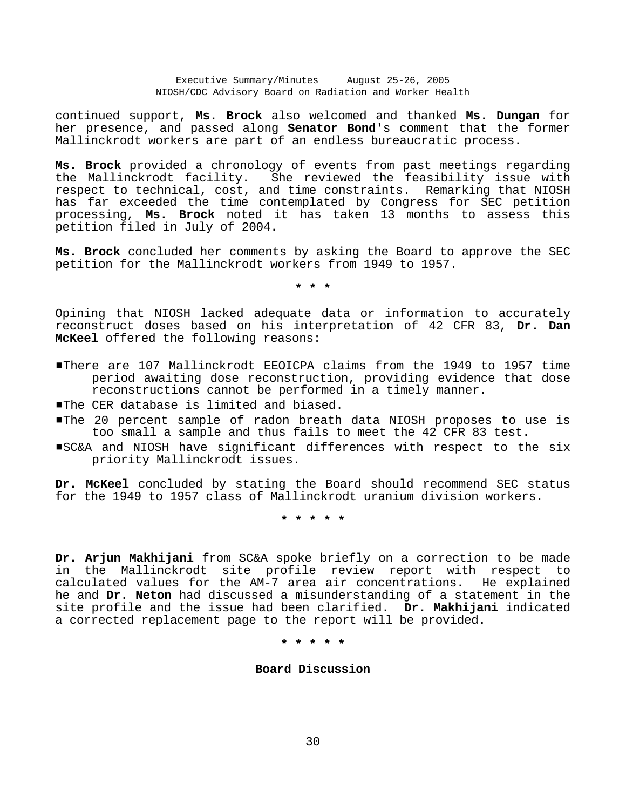continued support, **Ms. Brock** also welcomed and thanked **Ms. Dungan** for her presence, and passed along **Senator Bond**'s comment that the former Mallinckrodt workers are part of an endless bureaucratic process.

**Ms. Brock** provided a chronology of events from past meetings regarding the Mallinckrodt facility. She reviewed the feasibility issue with respect to technical, cost, and time constraints. Remarking that NIOSH has far exceeded the time contemplated by Congress for SEC petition processing, **Ms. Brock** noted it has taken 13 months to assess this petition filed in July of 2004.

**Ms. Brock** concluded her comments by asking the Board to approve the SEC petition for the Mallinckrodt workers from 1949 to 1957.

**\* \* \*** 

Opining that NIOSH lacked adequate data or information to accurately reconstruct doses based on his interpretation of 42 CFR 83, **Dr. Dan McKeel** offered the following reasons:

- #There are 107 Mallinckrodt EEOICPA claims from the 1949 to 1957 time period awaiting dose reconstruction, providing evidence that dose reconstructions cannot be performed in a timely manner.
- **The CER database is limited and biased.**
- #The 20 percent sample of radon breath data NIOSH proposes to use is too small a sample and thus fails to meet the 42 CFR 83 test.
- #SC&A and NIOSH have significant differences with respect to the six priority Mallinckrodt issues.

**Dr. McKeel** concluded by stating the Board should recommend SEC status for the 1949 to 1957 class of Mallinckrodt uranium division workers.

**\* \* \* \* \*** 

**Dr. Arjun Makhijani** from SC&A spoke briefly on a correction to be made in the Mallinckrodt site profile review report with respect to calculated values for the AM-7 area air concentrations. He explained he and **Dr. Neton** had discussed a misunderstanding of a statement in the site profile and the issue had been clarified. **Dr. Makhijani** indicated a corrected replacement page to the report will be provided.

**\* \* \* \* \*** 

# **Board Discussion**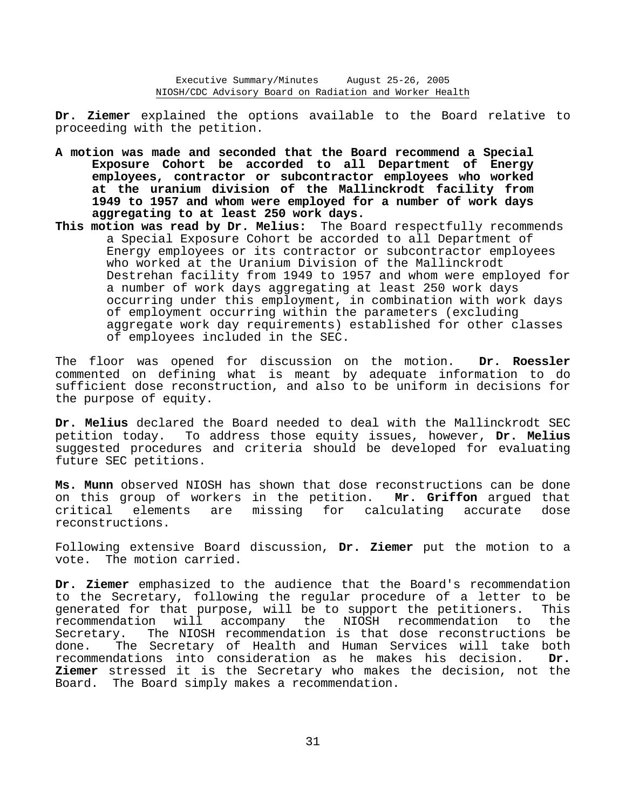Executive Summary/Minutes August 25-26, 2005 NIOSH/CDC Advisory Board on Radiation and Worker Health

**Dr. Ziemer** explained the options available to the Board relative to proceeding with the petition.

- **A motion was made and seconded that the Board recommend a Special Exposure Cohort be accorded to all Department of Energy employees, contractor or subcontractor employees who worked at the uranium division of the Mallinckrodt facility from 1949 to 1957 and whom were employed for a number of work days aggregating to at least 250 work days.**
- **This motion was read by Dr. Melius:** The Board respectfully recommends a Special Exposure Cohort be accorded to all Department of Energy employees or its contractor or subcontractor employees who worked at the Uranium Division of the Mallinckrodt Destrehan facility from 1949 to 1957 and whom were employed for a number of work days aggregating at least 250 work days occurring under this employment, in combination with work days of employment occurring within the parameters (excluding aggregate work day requirements) established for other classes of employees included in the SEC.

The floor was opened for discussion on the motion. **Dr. Roessler** commented on defining what is meant by adequate information to do sufficient dose reconstruction, and also to be uniform in decisions for the purpose of equity.

**Dr. Melius** declared the Board needed to deal with the Mallinckrodt SEC petition today. To address those equity issues, however, **Dr. Melius** suggested procedures and criteria should be developed for evaluating future SEC petitions.

**Ms. Munn** observed NIOSH has shown that dose reconstructions can be done on this group of workers in the petition. **Mr. Griffon** argued that critical elements are missing for calculating accurate dose reconstructions.

Following extensive Board discussion, **Dr. Ziemer** put the motion to a vote. The motion carried.

**Dr. Ziemer** emphasized to the audience that the Board's recommendation to the Secretary, following the regular procedure of a letter to be generated for that purpose, will be to support the petitioners. This recommendation will accompany the NIOSH recommendation to the Secretary. The NIOSH recommendation is that dose reconstructions be done. The Secretary of Health and Human Services will take both recommendations into consideration as he makes his decision. **Dr. Ziemer** stressed it is the Secretary who makes the decision, not the Board. The Board simply makes a recommendation.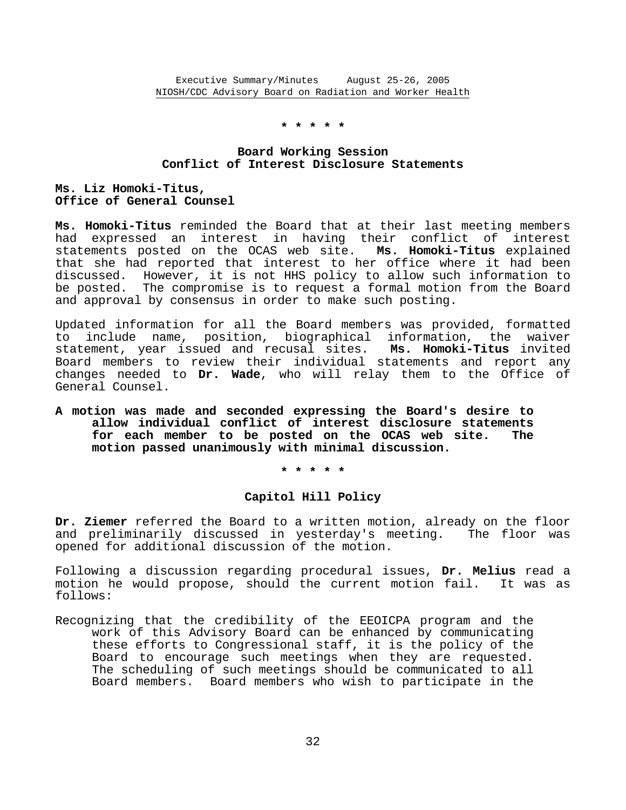# **\* \* \* \* \***

## **Board Working Session Conflict of Interest Disclosure Statements**

# **Ms. Liz Homoki-Titus, Office of General Counsel**

**Ms. Homoki-Titus** reminded the Board that at their last meeting members had expressed an interest in having their conflict of interest statements posted on the OCAS web site. **Ms. Homoki-Titus** explained that she had reported that interest to her office where it had been discussed. However, it is not HHS policy to allow such information to be posted. The compromise is to request a formal motion from the Board and approval by consensus in order to make such posting.

Updated information for all the Board members was provided, formatted to include name, position, biographical information, the waiver statement, year issued and recusal sites. **Ms. Homoki-Titus** invited Board members to review their individual statements and report any changes needed to **Dr. Wade**, who will relay them to the Office of General Counsel.

**A motion was made and seconded expressing the Board's desire to allow individual conflict of interest disclosure statements for each member to be posted on the OCAS web site. The motion passed unanimously with minimal discussion.** 

**\* \* \* \* \*** 

## **Capitol Hill Policy**

**Dr. Ziemer** referred the Board to a written motion, already on the floor and preliminarily discussed in yesterday's meeting. The floor was opened for additional discussion of the motion.

Following a discussion regarding procedural issues, **Dr. Melius** read a motion he would propose, should the current motion fail. It was as follows:

Recognizing that the credibility of the EEOICPA program and the work of this Advisory Board can be enhanced by communicating these efforts to Congressional staff, it is the policy of the Board to encourage such meetings when they are requested. The scheduling of such meetings should be communicated to all Board members. Board members who wish to participate in the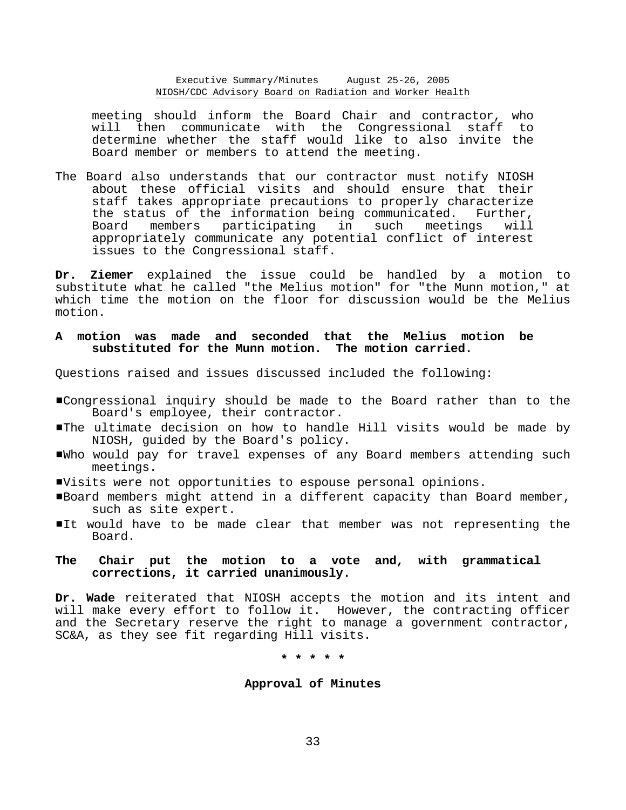Executive Summary/Minutes August 25-26, 2005 NIOSH/CDC Advisory Board on Radiation and Worker Health

meeting should inform the Board Chair and contractor, who will then communicate with the Congressional staff to determine whether the staff would like to also invite the Board member or members to attend the meeting.

The Board also understands that our contractor must notify NIOSH about these official visits and should ensure that their staff takes appropriate precautions to properly characterize the status of the information being communicated. Further, Board members participating in such meetings will appropriately communicate any potential conflict of interest issues to the Congressional staff.

**Dr. Ziemer** explained the issue could be handled by a motion to substitute what he called "the Melius motion" for "the Munn motion," at which time the motion on the floor for discussion would be the Melius motion.

## **A motion was made and seconded that the Melius motion be substituted for the Munn motion. The motion carried.**

Questions raised and issues discussed included the following:

- #Congressional inquiry should be made to the Board rather than to the Board's employee, their contractor.
- #The ultimate decision on how to handle Hill visits would be made by NIOSH, guided by the Board's policy.
- #Who would pay for travel expenses of any Board members attending such meetings.
- #Visits were not opportunities to espouse personal opinions.
- #Board members might attend in a different capacity than Board member, such as site expert.
- It would have to be made clear that member was not representing the Board.
- The Chair put the motion to a vote and, with grammatical **corrections, it carried unanimously.**

**Dr. Wade** reiterated that NIOSH accepts the motion and its intent and will make every effort to follow it. However, the contracting officer and the Secretary reserve the right to manage a government contractor, SC&A, as they see fit regarding Hill visits.

**\* \* \* \* \*** 

#### **Approval of Minutes**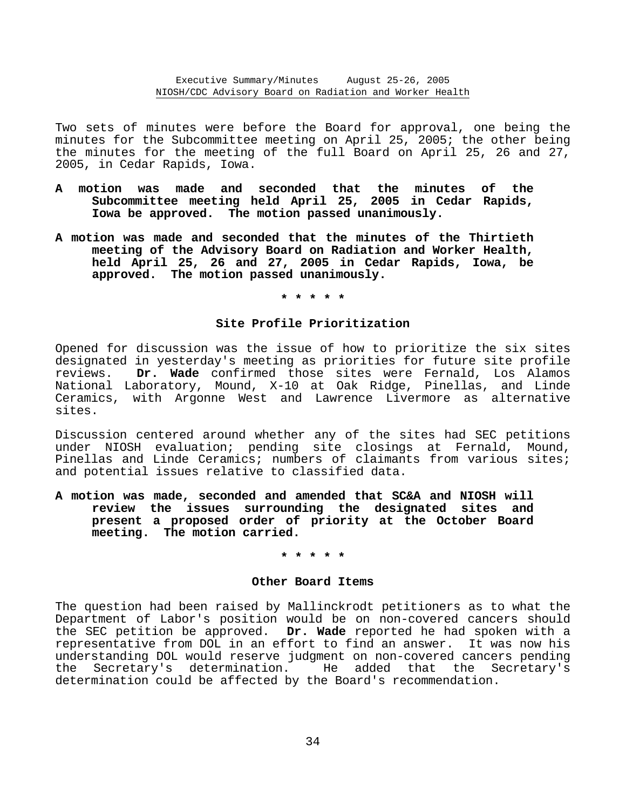Two sets of minutes were before the Board for approval, one being the minutes for the Subcommittee meeting on April 25, 2005; the other being the minutes for the meeting of the full Board on April 25, 26 and 27, 2005, in Cedar Rapids, Iowa.

- **A motion was made and seconded that the minutes of the Subcommittee meeting held April 25, 2005 in Cedar Rapids, Iowa be approved. The motion passed unanimously.**
- **A motion was made and seconded that the minutes of the Thirtieth meeting of the Advisory Board on Radiation and Worker Health, held April 25, 26 and 27, 2005 in Cedar Rapids, Iowa, be approved. The motion passed unanimously.**

## **\* \* \* \* \***

## **Site Profile Prioritization**

Opened for discussion was the issue of how to prioritize the six sites designated in yesterday's meeting as priorities for future site profile reviews. **Dr. Wade** confirmed those sites were Fernald, Los Alamos National Laboratory, Mound, X-10 at Oak Ridge, Pinellas, and Linde Ceramics, with Argonne West and Lawrence Livermore as alternative sites.

Discussion centered around whether any of the sites had SEC petitions under NIOSH evaluation; pending site closings at Fernald, Mound, Pinellas and Linde Ceramics; numbers of claimants from various sites; and potential issues relative to classified data.

**A motion was made, seconded and amended that SC&A and NIOSH will review the issues surrounding the designated sites and present a proposed order of priority at the October Board meeting. The motion carried.** 

#### **\* \* \* \* \***

#### **Other Board Items**

The question had been raised by Mallinckrodt petitioners as to what the Department of Labor's position would be on non-covered cancers should the SEC petition be approved. **Dr. Wade** reported he had spoken with a representative from DOL in an effort to find an answer. It was now his understanding DOL would reserve judgment on non-covered cancers pending the Secretary's determination. He added that the Secretary's determination could be affected by the Board's recommendation.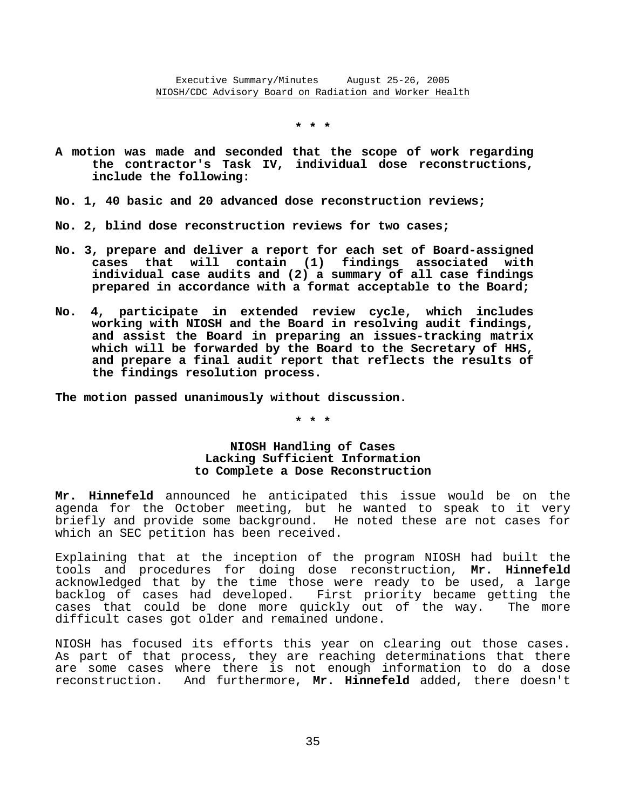**\* \* \*** 

- **A motion was made and seconded that the scope of work regarding the contractor's Task IV, individual dose reconstructions, include the following:**
- **No. 1, 40 basic and 20 advanced dose reconstruction reviews;**
- **No. 2, blind dose reconstruction reviews for two cases;**
- **No. 3, prepare and deliver a report for each set of Board-assigned cases that will contain (1) findings associated with individual case audits and (2) a summary of all case findings prepared in accordance with a format acceptable to the Board;**
- **No. 4, participate in extended review cycle, which includes working with NIOSH and the Board in resolving audit findings, and assist the Board in preparing an issues-tracking matrix which will be forwarded by the Board to the Secretary of HHS, and prepare a final audit report that reflects the results of the findings resolution process.**

**The motion passed unanimously without discussion.** 

**\* \* \*** 

# **NIOSH Handling of Cases Lacking Sufficient Information to Complete a Dose Reconstruction**

**Mr. Hinnefeld** announced he anticipated this issue would be on the agenda for the October meeting, but he wanted to speak to it very briefly and provide some background. He noted these are not cases for which an SEC petition has been received.

Explaining that at the inception of the program NIOSH had built the tools and procedures for doing dose reconstruction, **Mr. Hinnefeld** acknowledged that by the time those were ready to be used, a large backlog of cases had developed. First priority became getting the cases that could be done more quickly out of the way. The more difficult cases got older and remained undone.

NIOSH has focused its efforts this year on clearing out those cases. As part of that process, they are reaching determinations that there are some cases where there is not enough information to do a dose reconstruction. And furthermore, **Mr. Hinnefeld** added, there doesn't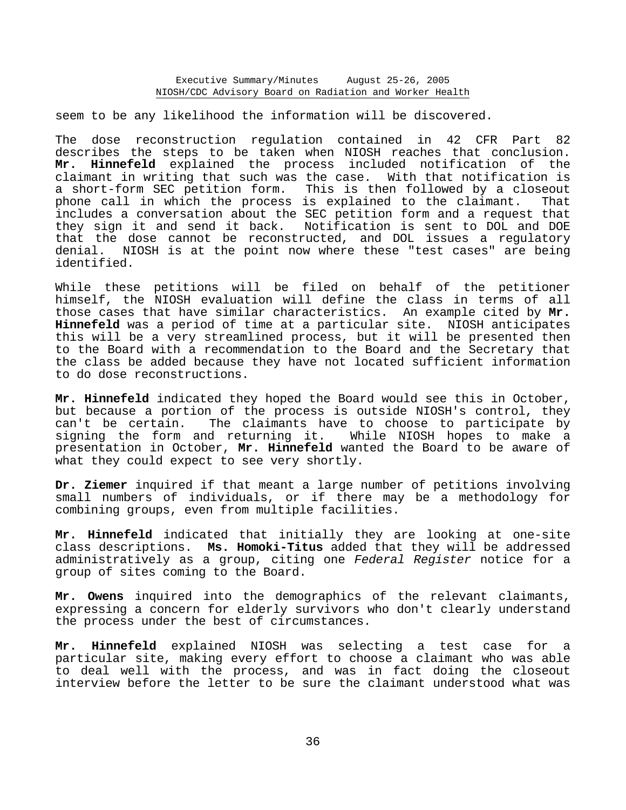seem to be any likelihood the information will be discovered.

The dose reconstruction regulation contained in 42 CFR Part 82 describes the steps to be taken when NIOSH reaches that conclusion. **Mr. Hinnefeld** explained the process included notification of the claimant in writing that such was the case. With that notification is a short-form SEC petition form. This is then followed by a closeout phone call in which the process is explained to the claimant. That includes a conversation about the SEC petition form and a request that they sign it and send it back. Notification is sent to DOL and DOE that the dose cannot be reconstructed, and DOL issues a regulatory denial. NIOSH is at the point now where these "test cases" are being identified.

While these petitions will be filed on behalf of the petitioner himself, the NIOSH evaluation will define the class in terms of all those cases that have similar characteristics. An example cited by **Mr. Hinnefeld** was a period of time at a particular site. NIOSH anticipates this will be a very streamlined process, but it will be presented then to the Board with a recommendation to the Board and the Secretary that the class be added because they have not located sufficient information to do dose reconstructions.

**Mr. Hinnefeld** indicated they hoped the Board would see this in October, but because a portion of the process is outside NIOSH's control, they can't be certain. The claimants have to choose to participate by signing the form and returning it. While NIOSH hopes to make a presentation in October, **Mr. Hinnefeld** wanted the Board to be aware of what they could expect to see very shortly.

**Dr. Ziemer** inquired if that meant a large number of petitions involving small numbers of individuals, or if there may be a methodology for combining groups, even from multiple facilities.

**Mr. Hinnefeld** indicated that initially they are looking at one-site class descriptions. **Ms. Homoki-Titus** added that they will be addressed administratively as a group, citing one *Federal Register* notice for a group of sites coming to the Board.

**Mr. Owens** inquired into the demographics of the relevant claimants, expressing a concern for elderly survivors who don't clearly understand the process under the best of circumstances.

**Mr. Hinnefeld** explained NIOSH was selecting a test case for a particular site, making every effort to choose a claimant who was able to deal well with the process, and was in fact doing the closeout interview before the letter to be sure the claimant understood what was